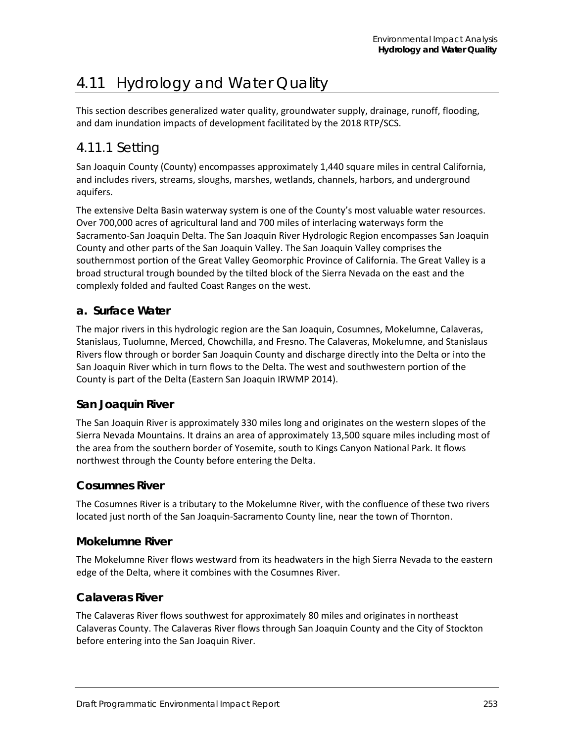# 4.11 Hydrology and Water Quality

This section describes generalized water quality, groundwater supply, drainage, runoff, flooding, and dam inundation impacts of development facilitated by the 2018 RTP/SCS.

# 4.11.1 Setting

San Joaquin County (County) encompasses approximately 1,440 square miles in central California, and includes rivers, streams, sloughs, marshes, wetlands, channels, harbors, and underground aquifers.

The extensive Delta Basin waterway system is one of the County's most valuable water resources. Over 700,000 acres of agricultural land and 700 miles of interlacing waterways form the Sacramento-San Joaquin Delta. The San Joaquin River Hydrologic Region encompasses San Joaquin County and other parts of the San Joaquin Valley. The San Joaquin Valley comprises the southernmost portion of the Great Valley Geomorphic Province of California. The Great Valley is a broad structural trough bounded by the tilted block of the Sierra Nevada on the east and the complexly folded and faulted Coast Ranges on the west.

# **a. Surface Water**

The major rivers in this hydrologic region are the San Joaquin, Cosumnes, Mokelumne, Calaveras, Stanislaus, Tuolumne, Merced, Chowchilla, and Fresno. The Calaveras, Mokelumne, and Stanislaus Rivers flow through or border San Joaquin County and discharge directly into the Delta or into the San Joaquin River which in turn flows to the Delta. The west and southwestern portion of the County is part of the Delta (Eastern San Joaquin IRWMP 2014).

# **San Joaquin River**

The San Joaquin River is approximately 330 miles long and originates on the western slopes of the Sierra Nevada Mountains. It drains an area of approximately 13,500 square miles including most of the area from the southern border of Yosemite, south to Kings Canyon National Park. It flows northwest through the County before entering the Delta.

# **Cosumnes River**

The Cosumnes River is a tributary to the Mokelumne River, with the confluence of these two rivers located just north of the San Joaquin-Sacramento County line, near the town of Thornton.

#### **Mokelumne River**

The Mokelumne River flows westward from its headwaters in the high Sierra Nevada to the eastern edge of the Delta, where it combines with the Cosumnes River.

# **Calaveras River**

The Calaveras River flows southwest for approximately 80 miles and originates in northeast Calaveras County. The Calaveras River flows through San Joaquin County and the City of Stockton before entering into the San Joaquin River.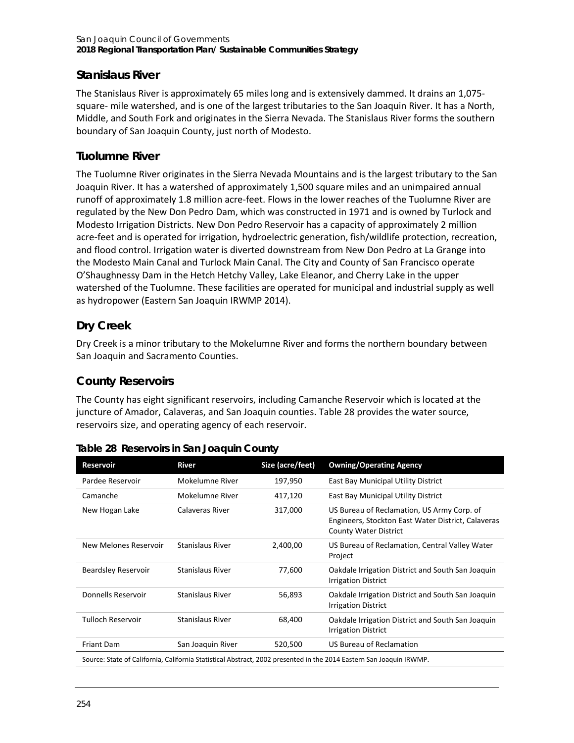# **Stanislaus River**

The Stanislaus River is approximately 65 miles long and is extensively dammed. It drains an 1,075 square- mile watershed, and is one of the largest tributaries to the San Joaquin River. It has a North, Middle, and South Fork and originates in the Sierra Nevada. The Stanislaus River forms the southern boundary of San Joaquin County, just north of Modesto.

# **Tuolumne River**

The Tuolumne River originates in the Sierra Nevada Mountains and is the largest tributary to the San Joaquin River. It has a watershed of approximately 1,500 square miles and an unimpaired annual runoff of approximately 1.8 million acre-feet. Flows in the lower reaches of the Tuolumne River are regulated by the New Don Pedro Dam, which was constructed in 1971 and is owned by Turlock and Modesto Irrigation Districts. New Don Pedro Reservoir has a capacity of approximately 2 million acre-feet and is operated for irrigation, hydroelectric generation, fish/wildlife protection, recreation, and flood control. Irrigation water is diverted downstream from New Don Pedro at La Grange into the Modesto Main Canal and Turlock Main Canal. The City and County of San Francisco operate O'Shaughnessy Dam in the Hetch Hetchy Valley, Lake Eleanor, and Cherry Lake in the upper watershed of the Tuolumne. These facilities are operated for municipal and industrial supply as well as hydropower (Eastern San Joaquin IRWMP 2014).

# **Dry Creek**

Dry Creek is a minor tributary to the Mokelumne River and forms the northern boundary between San Joaquin and Sacramento Counties.

# **County Reservoirs**

The County has eight significant reservoirs, including Camanche Reservoir which is located at the juncture of Amador, Calaveras, and San Joaquin counties. [Table 28](#page-1-0) provides the water source, reservoirs size, and operating agency of each reservoir.

| <b>Reservoir</b>           | <b>River</b>            | Size (acre/feet) | <b>Owning/Operating Agency</b>                                                                                                   |
|----------------------------|-------------------------|------------------|----------------------------------------------------------------------------------------------------------------------------------|
| Pardee Reservoir           | Mokelumne River         | 197,950          | East Bay Municipal Utility District                                                                                              |
| Camanche                   | Mokelumne River         | 417,120          | East Bay Municipal Utility District                                                                                              |
| New Hogan Lake             | Calaveras River         | 317,000          | US Bureau of Reclamation, US Army Corp. of<br>Engineers, Stockton East Water District, Calaveras<br><b>County Water District</b> |
| New Melones Reservoir      | Stanislaus River        | 2,400,00         | US Bureau of Reclamation, Central Valley Water<br>Project                                                                        |
| <b>Beardsley Reservoir</b> | Stanislaus River        | 77,600           | Oakdale Irrigation District and South San Joaquin<br><b>Irrigation District</b>                                                  |
| Donnells Reservoir         | <b>Stanislaus River</b> | 56,893           | Oakdale Irrigation District and South San Joaquin<br><b>Irrigation District</b>                                                  |
| <b>Tulloch Reservoir</b>   | <b>Stanislaus River</b> | 68,400           | Oakdale Irrigation District and South San Joaquin<br><b>Irrigation District</b>                                                  |
| <b>Friant Dam</b>          | San Joaquin River       | 520,500          | US Bureau of Reclamation                                                                                                         |
|                            |                         |                  | Source: State of California, California Statistical Abstract, 2002 presented in the 2014 Eastern San Joaquin IRWMP.              |

<span id="page-1-0"></span>**Table 28 Reservoirs in San Joaquin County**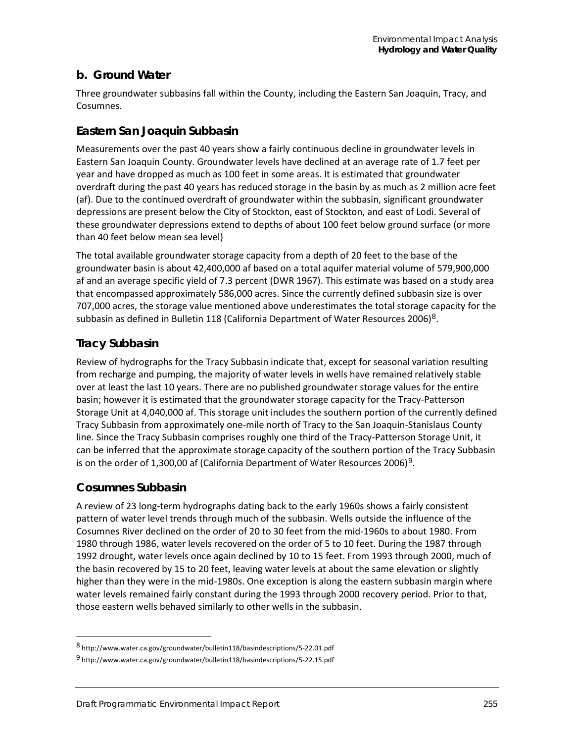# **b. Ground Water**

Three groundwater subbasins fall within the County, including the Eastern San Joaquin, Tracy, and Cosumnes.

# **Eastern San Joaquin Subbasin**

Measurements over the past 40 years show a fairly continuous decline in groundwater levels in Eastern San Joaquin County. Groundwater levels have declined at an average rate of 1.7 feet per year and have dropped as much as 100 feet in some areas. It is estimated that groundwater overdraft during the past 40 years has reduced storage in the basin by as much as 2 million acre feet (af). Due to the continued overdraft of groundwater within the subbasin, significant groundwater depressions are present below the City of Stockton, east of Stockton, and east of Lodi. Several of these groundwater depressions extend to depths of about 100 feet below ground surface (or more than 40 feet below mean sea level)

The total available groundwater storage capacity from a depth of 20 feet to the base of the groundwater basin is about 42,400,000 af based on a total aquifer material volume of 579,900,000 af and an average specific yield of 7.3 percent (DWR 1967). This estimate was based on a study area that encompassed approximately 586,000 acres. Since the currently defined subbasin size is over 707,000 acres, the storage value mentioned above underestimates the total storage capacity for the subbasin as defined in Bulletin 118 (California Department of Water Resources 2006)[8](#page-2-0).

# **Tracy Subbasin**

Review of hydrographs for the Tracy Subbasin indicate that, except for seasonal variation resulting from recharge and pumping, the majority of water levels in wells have remained relatively stable over at least the last 10 years. There are no published groundwater storage values for the entire basin; however it is estimated that the groundwater storage capacity for the Tracy-Patterson Storage Unit at 4,040,000 af. This storage unit includes the southern portion of the currently defined Tracy Subbasin from approximately one-mile north of Tracy to the San Joaquin-Stanislaus County line. Since the Tracy Subbasin comprises roughly one third of the Tracy-Patterson Storage Unit, it can be inferred that the approximate storage capacity of the southern portion of the Tracy Subbasin is on the order of 1,300,00 af (California Department of Water Resources 2006)<sup>[9](#page-2-1)</sup>.

# **Cosumnes Subbasin**

-

A review of 23 long-term hydrographs dating back to the early 1960s shows a fairly consistent pattern of water level trends through much of the subbasin. Wells outside the influence of the Cosumnes River declined on the order of 20 to 30 feet from the mid-1960s to about 1980. From 1980 through 1986, water levels recovered on the order of 5 to 10 feet. During the 1987 through 1992 drought, water levels once again declined by 10 to 15 feet. From 1993 through 2000, much of the basin recovered by 15 to 20 feet, leaving water levels at about the same elevation or slightly higher than they were in the mid-1980s. One exception is along the eastern subbasin margin where water levels remained fairly constant during the 1993 through 2000 recovery period. Prior to that, those eastern wells behaved similarly to other wells in the subbasin.

<span id="page-2-0"></span><sup>8</sup> http://www.water.ca.gov/groundwater/bulletin118/basindescriptions/5-22.01.pdf

<span id="page-2-1"></span><sup>9</sup> http://www.water.ca.gov/groundwater/bulletin118/basindescriptions/5-22.15.pdf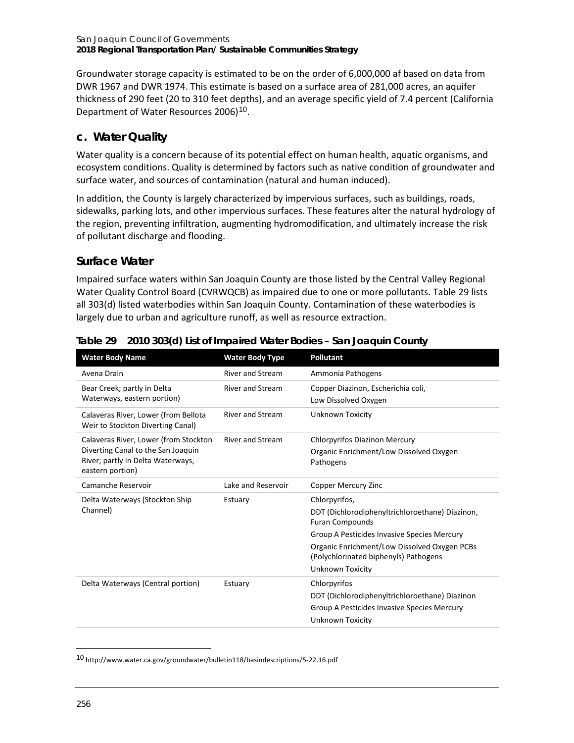Groundwater storage capacity is estimated to be on the order of 6,000,000 af based on data from DWR 1967 and DWR 1974. This estimate is based on a surface area of 281,000 acres, an aquifer thickness of 290 feet (20 to 310 feet depths), and an average specific yield of 7.4 percent (California Department of Water Resources 2006)<sup>[10](#page-3-1)</sup>.

# **c. Water Quality**

Water quality is a concern because of its potential effect on human health, aquatic organisms, and ecosystem conditions. Quality is determined by factors such as native condition of groundwater and surface water, and sources of contamination (natural and human induced).

In addition, the County is largely characterized by impervious surfaces, such as buildings, roads, sidewalks, parking lots, and other impervious surfaces. These features alter the natural hydrology of the region, preventing infiltration, augmenting hydromodification, and ultimately increase the risk of pollutant discharge and flooding.

# **Surface Water**

Impaired surface waters within San Joaquin County are those listed by the Central Valley Regional Water Quality Control Board (CVRWQCB) as impaired due to one or more pollutants. [Table 29](#page-3-0) lists all 303(d) listed waterbodies within San Joaquin County. Contamination of these waterbodies is largely due to urban and agriculture runoff, as well as resource extraction.

| <b>Water Body Name</b>                                                                      | <b>Water Body Type</b>  | <b>Pollutant</b>                                                                      |
|---------------------------------------------------------------------------------------------|-------------------------|---------------------------------------------------------------------------------------|
| Avena Drain                                                                                 | <b>River and Stream</b> | Ammonia Pathogens                                                                     |
| Bear Creek; partly in Delta<br>Waterways, eastern portion)                                  | <b>River and Stream</b> | Copper Diazinon, Escherichia coli,                                                    |
|                                                                                             |                         | Low Dissolved Oxygen                                                                  |
| Calaveras River, Lower (from Bellota<br>Weir to Stockton Diverting Canal)                   | <b>River and Stream</b> | Unknown Toxicity                                                                      |
| Calaveras River, Lower (from Stockton                                                       | <b>River and Stream</b> | <b>Chlorpyrifos Diazinon Mercury</b>                                                  |
| Diverting Canal to the San Joaquin<br>River; partly in Delta Waterways,<br>eastern portion) |                         | Organic Enrichment/Low Dissolved Oxygen<br>Pathogens                                  |
| Camanche Reservoir                                                                          | Lake and Reservoir      | Copper Mercury Zinc                                                                   |
| Delta Waterways (Stockton Ship                                                              | Estuary                 | Chlorpyrifos,                                                                         |
| Channel)                                                                                    |                         | DDT (Dichlorodiphenyltrichloroethane) Diazinon,<br><b>Furan Compounds</b>             |
|                                                                                             |                         | Group A Pesticides Invasive Species Mercury                                           |
|                                                                                             |                         | Organic Enrichment/Low Dissolved Oxygen PCBs<br>(Polychlorinated biphenyls) Pathogens |
|                                                                                             |                         | Unknown Toxicity                                                                      |
| Delta Waterways (Central portion)                                                           | Estuary                 | Chlorpyrifos                                                                          |
|                                                                                             |                         | DDT (Dichlorodiphenyltrichloroethane) Diazinon                                        |
|                                                                                             |                         | Group A Pesticides Invasive Species Mercury                                           |
|                                                                                             |                         | Unknown Toxicity                                                                      |

<span id="page-3-0"></span>

|  |  | Table 29 2010 303(d) List of Impaired Water Bodies - San Joaquin County |  |
|--|--|-------------------------------------------------------------------------|--|
|--|--|-------------------------------------------------------------------------|--|

<span id="page-3-1"></span>10 http://www.water.ca.gov/groundwater/bulletin118/basindescriptions/5-22.16.pdf

-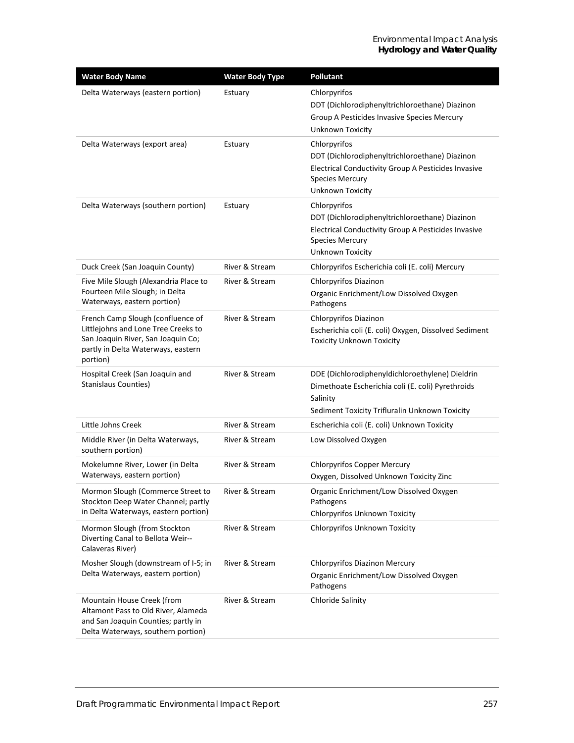| <b>Water Body Name</b>                                                                                                                                           | <b>Water Body Type</b> | <b>Pollutant</b>                                                                                                                                                           |
|------------------------------------------------------------------------------------------------------------------------------------------------------------------|------------------------|----------------------------------------------------------------------------------------------------------------------------------------------------------------------------|
| Delta Waterways (eastern portion)                                                                                                                                | Estuary                | Chlorpyrifos<br>DDT (Dichlorodiphenyltrichloroethane) Diazinon<br>Group A Pesticides Invasive Species Mercury<br>Unknown Toxicity                                          |
| Delta Waterways (export area)                                                                                                                                    | Estuary                | Chlorpyrifos<br>DDT (Dichlorodiphenyltrichloroethane) Diazinon<br>Electrical Conductivity Group A Pesticides Invasive<br><b>Species Mercury</b><br><b>Unknown Toxicity</b> |
| Delta Waterways (southern portion)                                                                                                                               | Estuary                | Chlorpyrifos<br>DDT (Dichlorodiphenyltrichloroethane) Diazinon<br>Electrical Conductivity Group A Pesticides Invasive<br><b>Species Mercury</b><br>Unknown Toxicity        |
| Duck Creek (San Joaquin County)                                                                                                                                  | River & Stream         | Chlorpyrifos Escherichia coli (E. coli) Mercury                                                                                                                            |
| Five Mile Slough (Alexandria Place to<br>Fourteen Mile Slough; in Delta<br>Waterways, eastern portion)                                                           | River & Stream         | Chlorpyrifos Diazinon<br>Organic Enrichment/Low Dissolved Oxygen<br>Pathogens                                                                                              |
| French Camp Slough (confluence of<br>Littlejohns and Lone Tree Creeks to<br>San Joaquin River, San Joaquin Co;<br>partly in Delta Waterways, eastern<br>portion) | River & Stream         | Chlorpyrifos Diazinon<br>Escherichia coli (E. coli) Oxygen, Dissolved Sediment<br><b>Toxicity Unknown Toxicity</b>                                                         |
| Hospital Creek (San Joaquin and<br><b>Stanislaus Counties)</b>                                                                                                   | River & Stream         | DDE (Dichlorodiphenyldichloroethylene) Dieldrin<br>Dimethoate Escherichia coli (E. coli) Pyrethroids<br>Salinity<br>Sediment Toxicity Trifluralin Unknown Toxicity         |
| Little Johns Creek                                                                                                                                               | River & Stream         | Escherichia coli (E. coli) Unknown Toxicity                                                                                                                                |
| Middle River (in Delta Waterways,<br>southern portion)                                                                                                           | River & Stream         | Low Dissolved Oxygen                                                                                                                                                       |
| Mokelumne River, Lower (in Delta<br>Waterways, eastern portion)                                                                                                  | River & Stream         | <b>Chlorpyrifos Copper Mercury</b><br>Oxygen, Dissolved Unknown Toxicity Zinc                                                                                              |
| Mormon Slough (Commerce Street to<br>Stockton Deep Water Channel; partly<br>in Delta Waterways, eastern portion)                                                 | River & Stream         | Organic Enrichment/Low Dissolved Oxygen<br>Pathogens<br><b>Chlorpyrifos Unknown Toxicity</b>                                                                               |
| Mormon Slough (from Stockton<br>Diverting Canal to Bellota Weir--<br>Calaveras River)                                                                            | River & Stream         | Chlorpyrifos Unknown Toxicity                                                                                                                                              |
| Mosher Slough (downstream of I-5; in<br>Delta Waterways, eastern portion)                                                                                        | River & Stream         | <b>Chlorpyrifos Diazinon Mercury</b><br>Organic Enrichment/Low Dissolved Oxygen<br>Pathogens                                                                               |
| Mountain House Creek (from<br>Altamont Pass to Old River, Alameda<br>and San Joaquin Counties; partly in<br>Delta Waterways, southern portion)                   | River & Stream         | Chloride Salinity                                                                                                                                                          |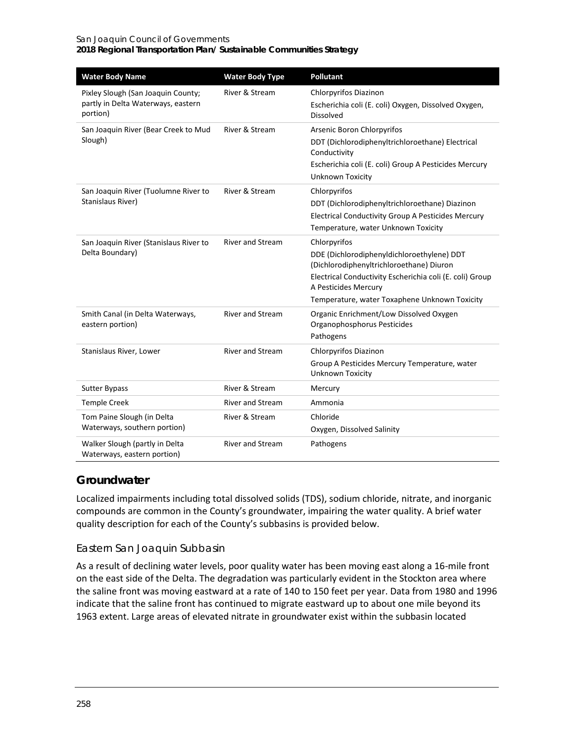#### San Joaquin Council of Governments **2018 Regional Transportation Plan/ Sustainable Communities Strategy**

| <b>Water Body Name</b>                                                               | <b>Water Body Type</b>  | <b>Pollutant</b>                                                                                                                                                                                                                            |
|--------------------------------------------------------------------------------------|-------------------------|---------------------------------------------------------------------------------------------------------------------------------------------------------------------------------------------------------------------------------------------|
| Pixley Slough (San Joaquin County;<br>partly in Delta Waterways, eastern<br>portion) | River & Stream          | Chlorpyrifos Diazinon<br>Escherichia coli (E. coli) Oxygen, Dissolved Oxygen,<br>Dissolved                                                                                                                                                  |
| San Joaquin River (Bear Creek to Mud<br>Slough)                                      | River & Stream          | Arsenic Boron Chlorpyrifos<br>DDT (Dichlorodiphenyltrichloroethane) Electrical<br>Conductivity<br>Escherichia coli (E. coli) Group A Pesticides Mercury<br>Unknown Toxicity                                                                 |
| San Joaquin River (Tuolumne River to<br>Stanislaus River)                            | River & Stream          | Chlorpyrifos<br>DDT (Dichlorodiphenyltrichloroethane) Diazinon<br>Electrical Conductivity Group A Pesticides Mercury<br>Temperature, water Unknown Toxicity                                                                                 |
| San Joaquin River (Stanislaus River to<br>Delta Boundary)                            | <b>River and Stream</b> | Chlorpyrifos<br>DDE (Dichlorodiphenyldichloroethylene) DDT<br>(Dichlorodiphenyltrichloroethane) Diuron<br>Electrical Conductivity Escherichia coli (E. coli) Group<br>A Pesticides Mercury<br>Temperature, water Toxaphene Unknown Toxicity |
| Smith Canal (in Delta Waterways,<br>eastern portion)                                 | <b>River and Stream</b> | Organic Enrichment/Low Dissolved Oxygen<br>Organophosphorus Pesticides<br>Pathogens                                                                                                                                                         |
| Stanislaus River, Lower                                                              | <b>River and Stream</b> | Chlorpyrifos Diazinon<br>Group A Pesticides Mercury Temperature, water<br>Unknown Toxicity                                                                                                                                                  |
| <b>Sutter Bypass</b>                                                                 | River & Stream          | Mercury                                                                                                                                                                                                                                     |
| <b>Temple Creek</b>                                                                  | <b>River and Stream</b> | Ammonia                                                                                                                                                                                                                                     |
| Tom Paine Slough (in Delta<br>Waterways, southern portion)                           | River & Stream          | Chloride<br>Oxygen, Dissolved Salinity                                                                                                                                                                                                      |
| Walker Slough (partly in Delta<br>Waterways, eastern portion)                        | <b>River and Stream</b> | Pathogens                                                                                                                                                                                                                                   |

# **Groundwater**

Localized impairments including total dissolved solids (TDS), sodium chloride, nitrate, and inorganic compounds are common in the County's groundwater, impairing the water quality. A brief water quality description for each of the County's subbasins is provided below.

#### *Eastern San Joaquin Subbasin*

As a result of declining water levels, poor quality water has been moving east along a 16-mile front on the east side of the Delta. The degradation was particularly evident in the Stockton area where the saline front was moving eastward at a rate of 140 to 150 feet per year. Data from 1980 and 1996 indicate that the saline front has continued to migrate eastward up to about one mile beyond its 1963 extent. Large areas of elevated nitrate in groundwater exist within the subbasin located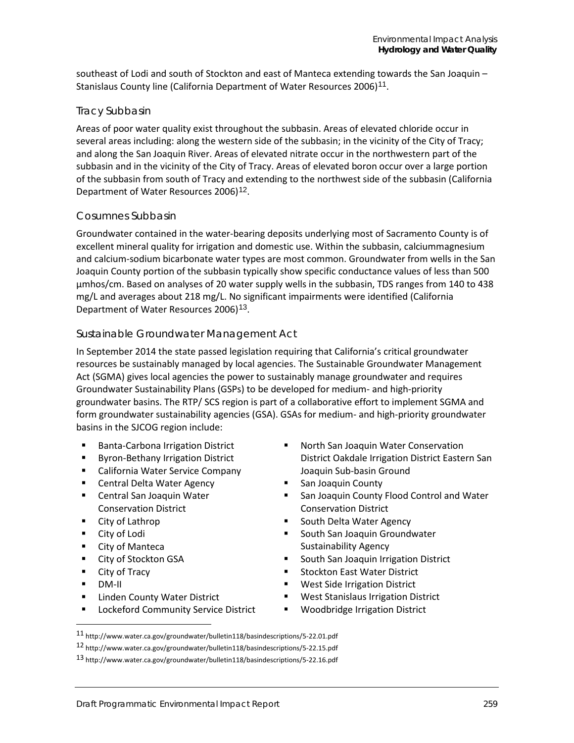southeast of Lodi and south of Stockton and east of Manteca extending towards the San Joaquin – Stanislaus County line (California Department of Water Resources 2006)<sup>[11](#page-6-0)</sup>.

#### *Tracy Subbasin*

Areas of poor water quality exist throughout the subbasin. Areas of elevated chloride occur in several areas including: along the western side of the subbasin; in the vicinity of the City of Tracy; and along the San Joaquin River. Areas of elevated nitrate occur in the northwestern part of the subbasin and in the vicinity of the City of Tracy. Areas of elevated boron occur over a large portion of the subbasin from south of Tracy and extending to the northwest side of the subbasin (California Department of Water Resources 2006)[12](#page-6-1).

#### *Cosumnes Subbasin*

Groundwater contained in the water-bearing deposits underlying most of Sacramento County is of excellent mineral quality for irrigation and domestic use. Within the subbasin, calciummagnesium and calcium-sodium bicarbonate water types are most common. Groundwater from wells in the San Joaquin County portion of the subbasin typically show specific conductance values of less than 500 µmhos/cm. Based on analyses of 20 water supply wells in the subbasin, TDS ranges from 140 to 438 mg/L and averages about 218 mg/L. No significant impairments were identified (California Department of Water Resources 2006)<sup>[13](#page-6-2)</sup>.

#### *Sustainable Groundwater Management Act*

In September 2014 the state passed legislation requiring that California's critical groundwater resources be sustainably managed by local agencies. The Sustainable Groundwater Management Act (SGMA) gives local agencies the power to sustainably manage groundwater and requires Groundwater Sustainability Plans (GSPs) to be developed for medium- and high-priority groundwater basins. The RTP/ SCS region is part of a collaborative effort to implement SGMA and form groundwater sustainability agencies (GSA). GSAs for medium- and high-priority groundwater basins in the SJCOG region include:

- Banta-Carbona Irrigation District
- **Byron-Bethany Irrigation District**
- California Water Service Company
- Central Delta Water Agency
- Central San Joaquin Water Conservation District
- City of Lathrop
- City of Lodi
- City of Manteca
- City of Stockton GSA
- City of Tracy
- DM-II

-

- **E** Linden County Water District
- **Lockeford Community Service District**
- **North San Joaquin Water Conservation** District Oakdale Irrigation District Eastern San Joaquin Sub-basin Ground
- **San Joaquin County**
- **San Joaquin County Flood Control and Water** Conservation District
- South Delta Water Agency
- **South San Joaquin Groundwater** Sustainability Agency
- **South San Joaquin Irrigation District**
- **Stockton East Water District**
- **West Side Irrigation District**
- West Stanislaus Irrigation District
- **Woodbridge Irrigation District**

<span id="page-6-0"></span><sup>11</sup> http://www.water.ca.gov/groundwater/bulletin118/basindescriptions/5-22.01.pdf

<span id="page-6-2"></span><span id="page-6-1"></span><sup>12</sup> http://www.water.ca.gov/groundwater/bulletin118/basindescriptions/5-22.15.pdf

<sup>13</sup> http://www.water.ca.gov/groundwater/bulletin118/basindescriptions/5-22.16.pdf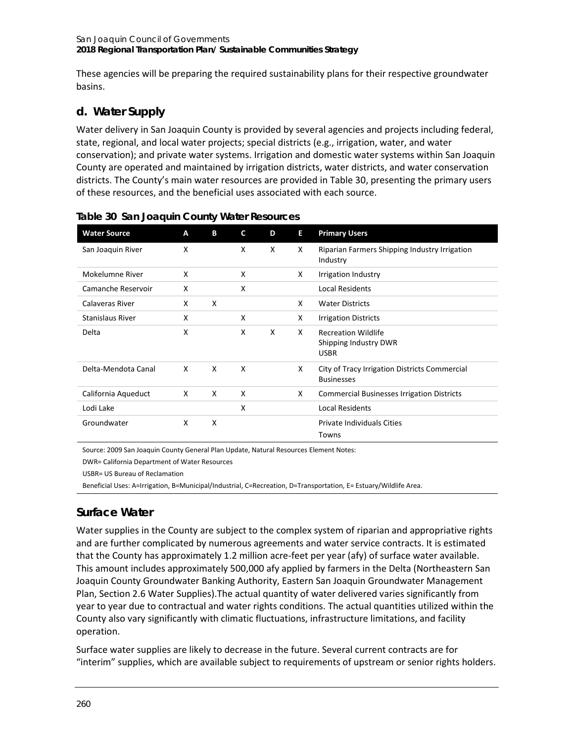These agencies will be preparing the required sustainability plans for their respective groundwater basins.

# **d. Water Supply**

Water delivery in San Joaquin County is provided by several agencies and projects including federal, state, regional, and local water projects; special districts (e.g., irrigation, water, and water conservation); and private water systems. Irrigation and domestic water systems within San Joaquin County are operated and maintained by irrigation districts, water districts, and water conservation districts. The County's main water resources are provided in [Table 30,](#page-7-0) presenting the primary users of these resources, and the beneficial uses associated with each source.

| <b>Water Source</b>     | A | B | C | D | Е | <b>Primary Users</b>                                               |
|-------------------------|---|---|---|---|---|--------------------------------------------------------------------|
| San Joaquin River       | X |   | X | X | X | Riparian Farmers Shipping Industry Irrigation<br>Industry          |
| Mokelumne River         | X |   | X |   | X | <b>Irrigation Industry</b>                                         |
| Camanche Reservoir      | X |   | X |   |   | <b>Local Residents</b>                                             |
| Calaveras River         | X | X |   |   | X | <b>Water Districts</b>                                             |
| <b>Stanislaus River</b> | X |   | X |   | X | <b>Irrigation Districts</b>                                        |
| Delta                   | X |   | X | X | X | <b>Recreation Wildlife</b><br>Shipping Industry DWR<br><b>USBR</b> |
| Delta-Mendota Canal     | X | X | X |   | X | City of Tracy Irrigation Districts Commercial<br><b>Businesses</b> |
| California Aqueduct     | X | X | X |   | X | <b>Commercial Businesses Irrigation Districts</b>                  |
| Lodi Lake               |   |   | X |   |   | <b>Local Residents</b>                                             |
| Groundwater             | X | X |   |   |   | <b>Private Individuals Cities</b><br>Towns                         |

<span id="page-7-0"></span>

|  |  | Table 30 San Joaquin County Water Resources |
|--|--|---------------------------------------------|
|  |  |                                             |

Source: 2009 San Joaquin County General Plan Update, Natural Resources Element Notes:

DWR= California Department of Water Resources

USBR= US Bureau of Reclamation

Beneficial Uses: A=Irrigation, B=Municipal/Industrial, C=Recreation, D=Transportation, E= Estuary/Wildlife Area.

# **Surface Water**

Water supplies in the County are subject to the complex system of riparian and appropriative rights and are further complicated by numerous agreements and water service contracts. It is estimated that the County has approximately 1.2 million acre-feet per year (afy) of surface water available. This amount includes approximately 500,000 afy applied by farmers in the Delta (Northeastern San Joaquin County Groundwater Banking Authority, Eastern San Joaquin Groundwater Management Plan, Section 2.6 Water Supplies).The actual quantity of water delivered varies significantly from year to year due to contractual and water rights conditions. The actual quantities utilized within the County also vary significantly with climatic fluctuations, infrastructure limitations, and facility operation.

Surface water supplies are likely to decrease in the future. Several current contracts are for "interim" supplies, which are available subject to requirements of upstream or senior rights holders.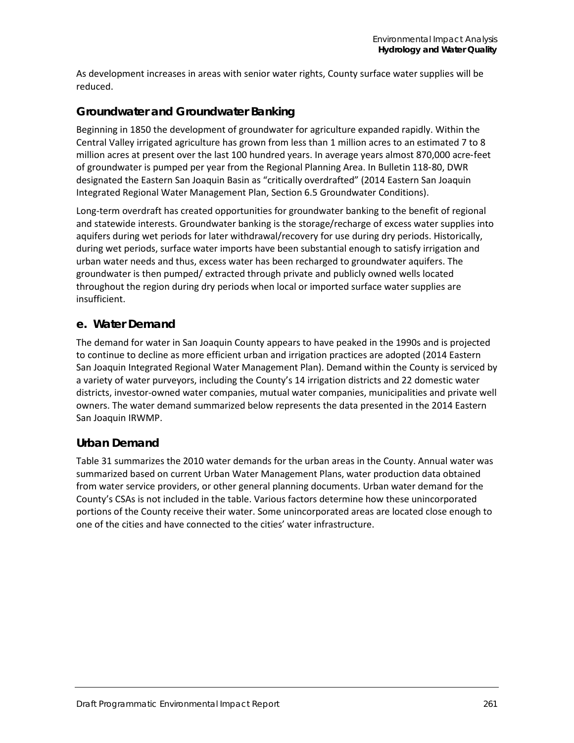As development increases in areas with senior water rights, County surface water supplies will be reduced.

# **Groundwater and Groundwater Banking**

Beginning in 1850 the development of groundwater for agriculture expanded rapidly. Within the Central Valley irrigated agriculture has grown from less than 1 million acres to an estimated 7 to 8 million acres at present over the last 100 hundred years. In average years almost 870,000 acre‐feet of groundwater is pumped per year from the Regional Planning Area. In Bulletin 118‐80, DWR designated the Eastern San Joaquin Basin as "critically overdrafted" (2014 Eastern San Joaquin Integrated Regional Water Management Plan, Section 6.5 Groundwater Conditions).

Long-term overdraft has created opportunities for groundwater banking to the benefit of regional and statewide interests. Groundwater banking is the storage/recharge of excess water supplies into aquifers during wet periods for later withdrawal/recovery for use during dry periods. Historically, during wet periods, surface water imports have been substantial enough to satisfy irrigation and urban water needs and thus, excess water has been recharged to groundwater aquifers. The groundwater is then pumped/ extracted through private and publicly owned wells located throughout the region during dry periods when local or imported surface water supplies are insufficient.

# **e. Water Demand**

The demand for water in San Joaquin County appears to have peaked in the 1990s and is projected to continue to decline as more efficient urban and irrigation practices are adopted (2014 Eastern San Joaquin Integrated Regional Water Management Plan). Demand within the County is serviced by a variety of water purveyors, including the County's 14 irrigation districts and 22 domestic water districts, investor-owned water companies, mutual water companies, municipalities and private well owners. The water demand summarized below represents the data presented in the 2014 Eastern San Joaquin IRWMP.

# **Urban Demand**

[Table 31](#page-9-0) summarizes the 2010 water demands for the urban areas in the County. Annual water was summarized based on current Urban Water Management Plans, water production data obtained from water service providers, or other general planning documents. Urban water demand for the County's CSAs is not included in the table. Various factors determine how these unincorporated portions of the County receive their water. Some unincorporated areas are located close enough to one of the cities and have connected to the cities' water infrastructure.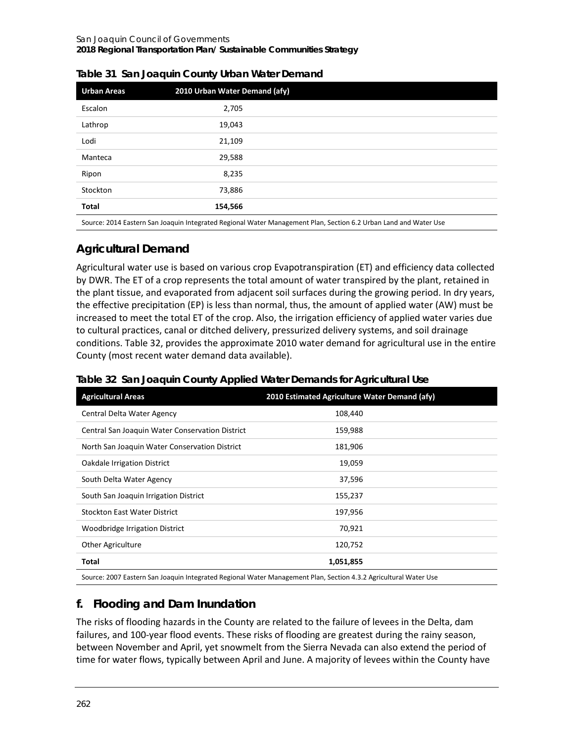| <b>Urban Areas</b> | 2010 Urban Water Demand (afy)                                                                                     |  |
|--------------------|-------------------------------------------------------------------------------------------------------------------|--|
| Escalon            | 2,705                                                                                                             |  |
| Lathrop            | 19,043                                                                                                            |  |
| Lodi               | 21,109                                                                                                            |  |
| Manteca            | 29,588                                                                                                            |  |
| Ripon              | 8,235                                                                                                             |  |
| Stockton           | 73,886                                                                                                            |  |
| <b>Total</b>       | 154,566                                                                                                           |  |
|                    | Carroll 2014 Factors Can Tagarria Integrated Bagianal Water Management Blan Caption C.3 Holena Land and Water Her |  |

<span id="page-9-0"></span>

|  |  | Table 31 San Joaquin County Urban Water Demand |
|--|--|------------------------------------------------|
|  |  |                                                |

Source: 2014 Eastern San Joaquin Integrated Regional Water Management Plan, Section 6.2 Urban Land and Water Use

# **Agricultural Demand**

Agricultural water use is based on various crop Evapotranspiration (ET) and efficiency data collected by DWR. The ET of a crop represents the total amount of water transpired by the plant, retained in the plant tissue, and evaporated from adjacent soil surfaces during the growing period. In dry years, the effective precipitation (EP) is less than normal, thus, the amount of applied water (AW) must be increased to meet the total ET of the crop. Also, the irrigation efficiency of applied water varies due to cultural practices, canal or ditched delivery, pressurized delivery systems, and soil drainage conditions. [Table 32,](#page-9-1) provides the approximate 2010 water demand for agricultural use in the entire County (most recent water demand data available).

| <b>Agricultural Areas</b>                       | 2010 Estimated Agriculture Water Demand (afy)                                                                    |
|-------------------------------------------------|------------------------------------------------------------------------------------------------------------------|
| Central Delta Water Agency                      | 108,440                                                                                                          |
| Central San Joaquin Water Conservation District | 159,988                                                                                                          |
| North San Joaquin Water Conservation District   | 181,906                                                                                                          |
| Oakdale Irrigation District                     | 19,059                                                                                                           |
| South Delta Water Agency                        | 37,596                                                                                                           |
| South San Joaquin Irrigation District           | 155,237                                                                                                          |
| <b>Stockton East Water District</b>             | 197,956                                                                                                          |
| Woodbridge Irrigation District                  | 70,921                                                                                                           |
| Other Agriculture                               | 120,752                                                                                                          |
| Total                                           | 1,051,855                                                                                                        |
|                                                 | Course: 2007 Fosters Can Jooquin Interreted Beginnal Water Management Blan, Cestion 4.2.3 Agricultural Water Use |

<span id="page-9-1"></span>**Table 32 San Joaquin County Applied Water Demands for Agricultural Use**

Source: 2007 Eastern San Joaquin Integrated Regional Water Management Plan, Section 4.3.2 Agricultural Water Use

# **f. Flooding and Dam Inundation**

The risks of flooding hazards in the County are related to the failure of levees in the Delta, dam failures, and 100-year flood events. These risks of flooding are greatest during the rainy season, between November and April, yet snowmelt from the Sierra Nevada can also extend the period of time for water flows, typically between April and June. A majority of levees within the County have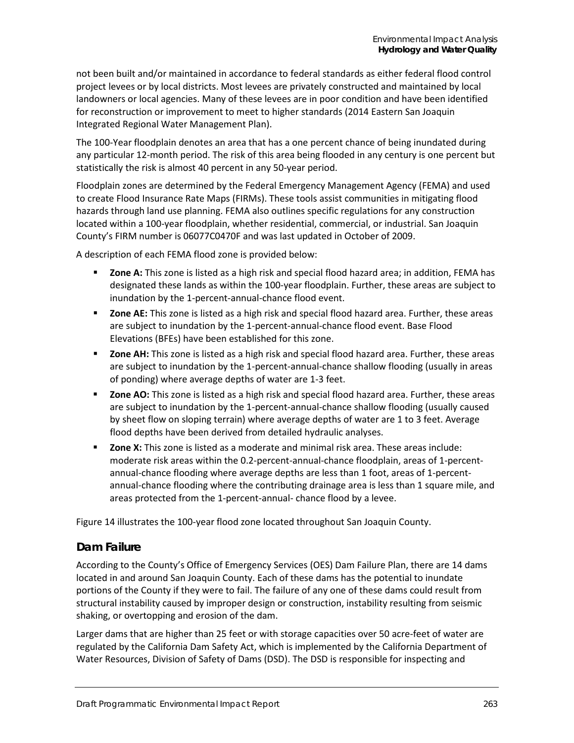not been built and/or maintained in accordance to federal standards as either federal flood control project levees or by local districts. Most levees are privately constructed and maintained by local landowners or local agencies. Many of these levees are in poor condition and have been identified for reconstruction or improvement to meet to higher standards (2014 Eastern San Joaquin Integrated Regional Water Management Plan).

The 100-Year floodplain denotes an area that has a one percent chance of being inundated during any particular 12-month period. The risk of this area being flooded in any century is one percent but statistically the risk is almost 40 percent in any 50-year period.

Floodplain zones are determined by the Federal Emergency Management Agency (FEMA) and used to create Flood Insurance Rate Maps (FIRMs). These tools assist communities in mitigating flood hazards through land use planning. FEMA also outlines specific regulations for any construction located within a 100-year floodplain, whether residential, commercial, or industrial. San Joaquin County's FIRM number is 06077C0470F and was last updated in October of 2009.

A description of each FEMA flood zone is provided below:

- **Zone A:** This zone is listed as a high risk and special flood hazard area; in addition, FEMA has designated these lands as within the 100-year floodplain. Further, these areas are subject to inundation by the 1-percent-annual-chance flood event.
- **EXECTE:** This zone is listed as a high risk and special flood hazard area. Further, these areas are subject to inundation by the 1-percent-annual-chance flood event. Base Flood Elevations (BFEs) have been established for this zone.
- **EXECT** 2012 **Zone AH:** This zone is listed as a high risk and special flood hazard area. Further, these areas are subject to inundation by the 1-percent-annual-chance shallow flooding (usually in areas of ponding) where average depths of water are 1-3 feet.
- **Lace AO:** This zone is listed as a high risk and special flood hazard area. Further, these areas are subject to inundation by the 1-percent-annual-chance shallow flooding (usually caused by sheet flow on sloping terrain) where average depths of water are 1 to 3 feet. Average flood depths have been derived from detailed hydraulic analyses.
- **EXICO 2:** This zone is listed as a moderate and minimal risk area. These areas include: moderate risk areas within the 0.2-percent-annual-chance floodplain, areas of 1-percentannual-chance flooding where average depths are less than 1 foot, areas of 1-percentannual-chance flooding where the contributing drainage area is less than 1 square mile, and areas protected from the 1-percent-annual- chance flood by a levee.

[Figure 14](#page-11-0) illustrates the 100-year flood zone located throughout San Joaquin County.

# **Dam Failure**

According to the County's Office of Emergency Services (OES) Dam Failure Plan, there are 14 dams located in and around San Joaquin County. Each of these dams has the potential to inundate portions of the County if they were to fail. The failure of any one of these dams could result from structural instability caused by improper design or construction, instability resulting from seismic shaking, or overtopping and erosion of the dam.

Larger dams that are higher than 25 feet or with storage capacities over 50 acre-feet of water are regulated by the California Dam Safety Act, which is implemented by the California Department of Water Resources, Division of Safety of Dams (DSD). The DSD is responsible for inspecting and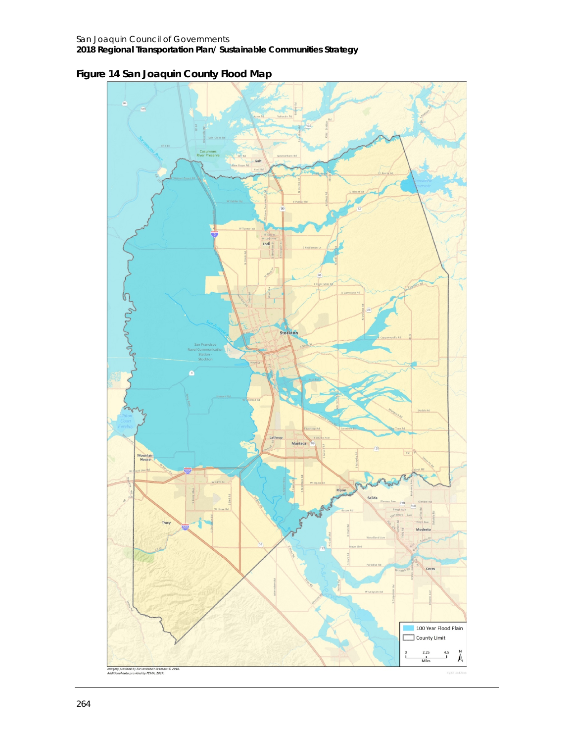<span id="page-11-0"></span>**Figure 14 San Joaquin County Flood Map**

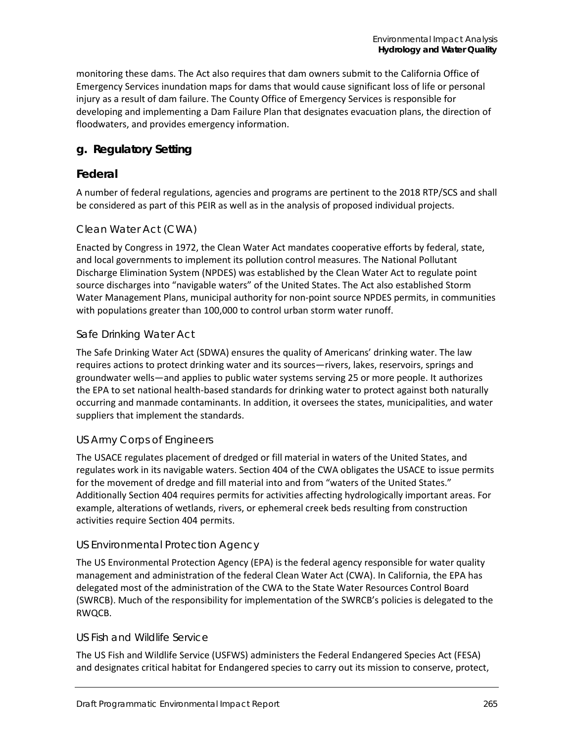monitoring these dams. The Act also requires that dam owners submit to the California Office of Emergency Services inundation maps for dams that would cause significant loss of life or personal injury as a result of dam failure. The County Office of Emergency Services is responsible for developing and implementing a Dam Failure Plan that designates evacuation plans, the direction of floodwaters, and provides emergency information.

# **g. Regulatory Setting**

# **Federal**

A number of federal regulations, agencies and programs are pertinent to the 2018 RTP/SCS and shall be considered as part of this PEIR as well as in the analysis of proposed individual projects.

# *Clean Water Act (CWA)*

Enacted by Congress in 1972, the Clean Water Act mandates cooperative efforts by federal, state, and local governments to implement its pollution control measures. The National Pollutant Discharge Elimination System (NPDES) was established by the Clean Water Act to regulate point source discharges into "navigable waters" of the United States. The Act also established Storm Water Management Plans, municipal authority for non-point source NPDES permits, in communities with populations greater than 100,000 to control urban storm water runoff.

### *Safe Drinking Water Act*

The Safe Drinking Water Act (SDWA) ensures the quality of Americans' drinking water. The law requires actions to protect drinking water and its sources—rivers, lakes, reservoirs, springs and groundwater wells—and applies to public water systems serving 25 or more people. It authorizes the EPA to set national health-based standards for drinking water to protect against both naturally occurring and manmade contaminants. In addition, it oversees the states, municipalities, and water suppliers that implement the standards.

#### *US Army Corps of Engineers*

The USACE regulates placement of dredged or fill material in waters of the United States, and regulates work in its navigable waters. Section 404 of the CWA obligates the USACE to issue permits for the movement of dredge and fill material into and from "waters of the United States." Additionally Section 404 requires permits for activities affecting hydrologically important areas. For example, alterations of wetlands, rivers, or ephemeral creek beds resulting from construction activities require Section 404 permits.

# *US Environmental Protection Agency*

The US Environmental Protection Agency (EPA) is the federal agency responsible for water quality management and administration of the federal Clean Water Act (CWA). In California, the EPA has delegated most of the administration of the CWA to the State Water Resources Control Board (SWRCB). Much of the responsibility for implementation of the SWRCB's policies is delegated to the RWQCB.

#### *US Fish and Wildlife Service*

The US Fish and Wildlife Service (USFWS) administers the Federal Endangered Species Act (FESA) and designates critical habitat for Endangered species to carry out its mission to conserve, protect,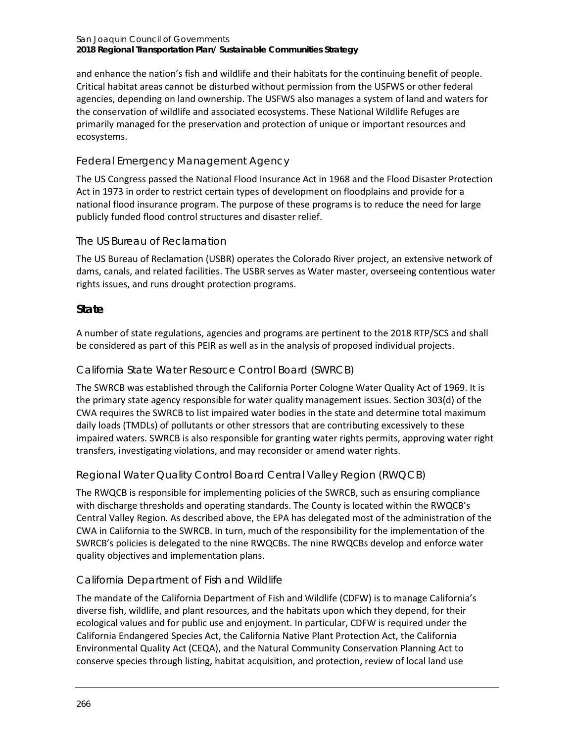#### San Joaquin Council of Governments **2018 Regional Transportation Plan/ Sustainable Communities Strategy**

and enhance the nation's fish and wildlife and their habitats for the continuing benefit of people. Critical habitat areas cannot be disturbed without permission from the USFWS or other federal agencies, depending on land ownership. The USFWS also manages a system of land and waters for the conservation of wildlife and associated ecosystems. These National Wildlife Refuges are primarily managed for the preservation and protection of unique or important resources and ecosystems.

# *Federal Emergency Management Agency*

The US Congress passed the National Flood Insurance Act in 1968 and the Flood Disaster Protection Act in 1973 in order to restrict certain types of development on floodplains and provide for a national flood insurance program. The purpose of these programs is to reduce the need for large publicly funded flood control structures and disaster relief.

### *The US Bureau of Reclamation*

The US Bureau of Reclamation (USBR) operates the Colorado River project, an extensive network of dams, canals, and related facilities. The USBR serves as Water master, overseeing contentious water rights issues, and runs drought protection programs.

# **State**

A number of state regulations, agencies and programs are pertinent to the 2018 RTP/SCS and shall be considered as part of this PEIR as well as in the analysis of proposed individual projects.

### *California State Water Resource Control Board (SWRCB)*

The SWRCB was established through the California Porter Cologne Water Quality Act of 1969. It is the primary state agency responsible for water quality management issues. Section 303(d) of the CWA requires the SWRCB to list impaired water bodies in the state and determine total maximum daily loads (TMDLs) of pollutants or other stressors that are contributing excessively to these impaired waters. SWRCB is also responsible for granting water rights permits, approving water right transfers, investigating violations, and may reconsider or amend water rights.

# *Regional Water Quality Control Board Central Valley Region (RWQCB)*

The RWQCB is responsible for implementing policies of the SWRCB, such as ensuring compliance with discharge thresholds and operating standards. The County is located within the RWQCB's Central Valley Region. As described above, the EPA has delegated most of the administration of the CWA in California to the SWRCB. In turn, much of the responsibility for the implementation of the SWRCB's policies is delegated to the nine RWQCBs. The nine RWQCBs develop and enforce water quality objectives and implementation plans.

# *California Department of Fish and Wildlife*

The mandate of the California Department of Fish and Wildlife (CDFW) is to manage California's diverse fish, wildlife, and plant resources, and the habitats upon which they depend, for their ecological values and for public use and enjoyment. In particular, CDFW is required under the California Endangered Species Act, the California Native Plant Protection Act, the California Environmental Quality Act (CEQA), and the Natural Community Conservation Planning Act to conserve species through listing, habitat acquisition, and protection, review of local land use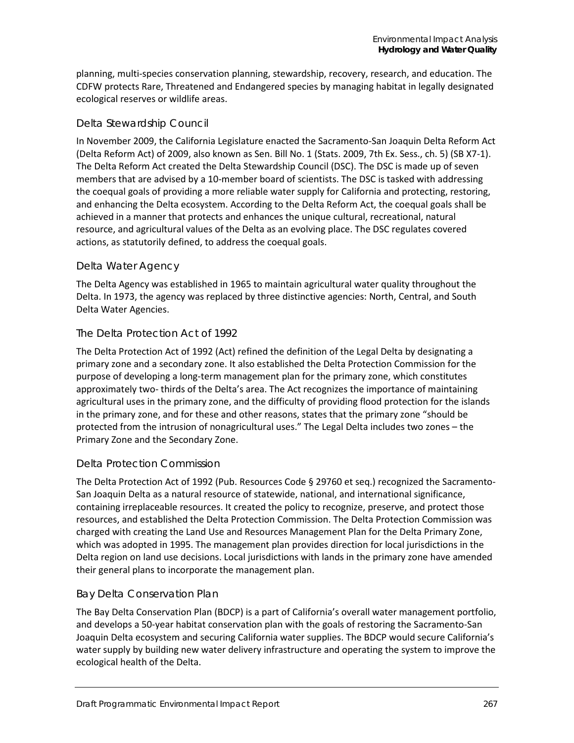planning, multi-species conservation planning, stewardship, recovery, research, and education. The CDFW protects Rare, Threatened and Endangered species by managing habitat in legally designated ecological reserves or wildlife areas.

### *Delta Stewardship Council*

In November 2009, the California Legislature enacted the Sacramento-San Joaquin Delta Reform Act (Delta Reform Act) of 2009, also known as Sen. Bill No. 1 (Stats. 2009, 7th Ex. Sess., ch. 5) (SB X7-1). The Delta Reform Act created the Delta Stewardship Council (DSC). The DSC is made up of seven members that are advised by a 10-member board of scientists. The DSC is tasked with addressing the coequal goals of providing a more reliable water supply for California and protecting, restoring, and enhancing the Delta ecosystem. According to the Delta Reform Act, the coequal goals shall be achieved in a manner that protects and enhances the unique cultural, recreational, natural resource, and agricultural values of the Delta as an evolving place. The DSC regulates covered actions, as statutorily defined, to address the coequal goals.

# *Delta Water Agency*

The Delta Agency was established in 1965 to maintain agricultural water quality throughout the Delta. In 1973, the agency was replaced by three distinctive agencies: North, Central, and South Delta Water Agencies.

### *The Delta Protection Act of 1992*

The Delta Protection Act of 1992 (Act) refined the definition of the Legal Delta by designating a primary zone and a secondary zone. It also established the Delta Protection Commission for the purpose of developing a long-term management plan for the primary zone, which constitutes approximately two- thirds of the Delta's area. The Act recognizes the importance of maintaining agricultural uses in the primary zone, and the difficulty of providing flood protection for the islands in the primary zone, and for these and other reasons, states that the primary zone "should be protected from the intrusion of nonagricultural uses." The Legal Delta includes two zones – the Primary Zone and the Secondary Zone.

#### *Delta Protection Commission*

The Delta Protection Act of 1992 (Pub. Resources Code § 29760 et seq.) recognized the Sacramento-San Joaquin Delta as a natural resource of statewide, national, and international significance, containing irreplaceable resources. It created the policy to recognize, preserve, and protect those resources, and established the Delta Protection Commission. The Delta Protection Commission was charged with creating the Land Use and Resources Management Plan for the Delta Primary Zone, which was adopted in 1995. The management plan provides direction for local jurisdictions in the Delta region on land use decisions. Local jurisdictions with lands in the primary zone have amended their general plans to incorporate the management plan.

#### *Bay Delta Conservation Plan*

The Bay Delta Conservation Plan (BDCP) is a part of California's overall water management portfolio, and develops a 50-year habitat conservation plan with the goals of restoring the Sacramento-San Joaquin Delta ecosystem and securing California water supplies. The BDCP would secure California's water supply by building new water delivery infrastructure and operating the system to improve the ecological health of the Delta.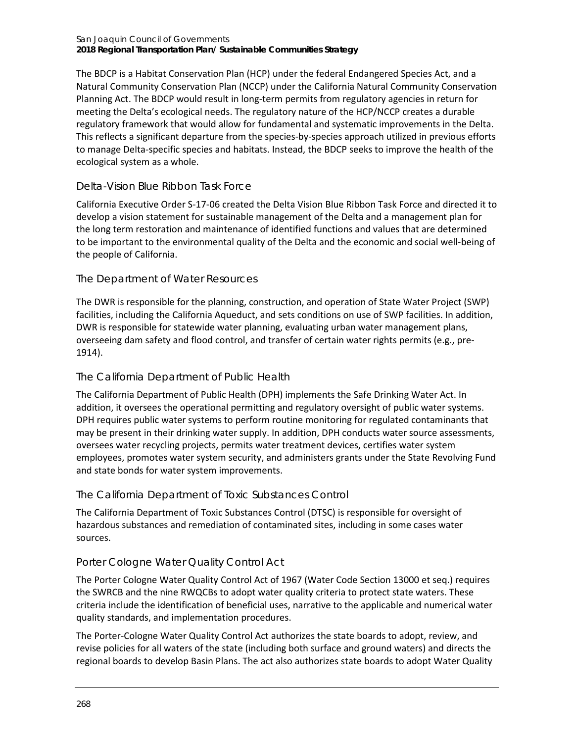The BDCP is a Habitat Conservation Plan (HCP) under the federal Endangered Species Act, and a Natural Community Conservation Plan (NCCP) under the California Natural Community Conservation Planning Act. The BDCP would result in long-term permits from regulatory agencies in return for meeting the Delta's ecological needs. The regulatory nature of the HCP/NCCP creates a durable regulatory framework that would allow for fundamental and systematic improvements in the Delta. This reflects a significant departure from the species-by-species approach utilized in previous efforts to manage Delta-specific species and habitats. Instead, the BDCP seeks to improve the health of the ecological system as a whole.

# *Delta-Vision Blue Ribbon Task Force*

California Executive Order S-17-06 created the Delta Vision Blue Ribbon Task Force and directed it to develop a vision statement for sustainable management of the Delta and a management plan for the long term restoration and maintenance of identified functions and values that are determined to be important to the environmental quality of the Delta and the economic and social well-being of the people of California.

# *The Department of Water Resources*

The DWR is responsible for the planning, construction, and operation of State Water Project (SWP) facilities, including the California Aqueduct, and sets conditions on use of SWP facilities. In addition, DWR is responsible for statewide water planning, evaluating urban water management plans, overseeing dam safety and flood control, and transfer of certain water rights permits (e.g., pre-1914).

# *The California Department of Public Health*

The California Department of Public Health (DPH) implements the Safe Drinking Water Act. In addition, it oversees the operational permitting and regulatory oversight of public water systems. DPH requires public water systems to perform routine monitoring for regulated contaminants that may be present in their drinking water supply. In addition, DPH conducts water source assessments, oversees water recycling projects, permits water treatment devices, certifies water system employees, promotes water system security, and administers grants under the State Revolving Fund and state bonds for water system improvements.

# *The California Department of Toxic Substances Control*

The California Department of Toxic Substances Control (DTSC) is responsible for oversight of hazardous substances and remediation of contaminated sites, including in some cases water sources.

# *Porter Cologne Water Quality Control Act*

The Porter Cologne Water Quality Control Act of 1967 (Water Code Section 13000 et seq.) requires the SWRCB and the nine RWQCBs to adopt water quality criteria to protect state waters. These criteria include the identification of beneficial uses, narrative to the applicable and numerical water quality standards, and implementation procedures.

The Porter-Cologne Water Quality Control Act authorizes the state boards to adopt, review, and revise policies for all waters of the state (including both surface and ground waters) and directs the regional boards to develop Basin Plans. The act also authorizes state boards to adopt Water Quality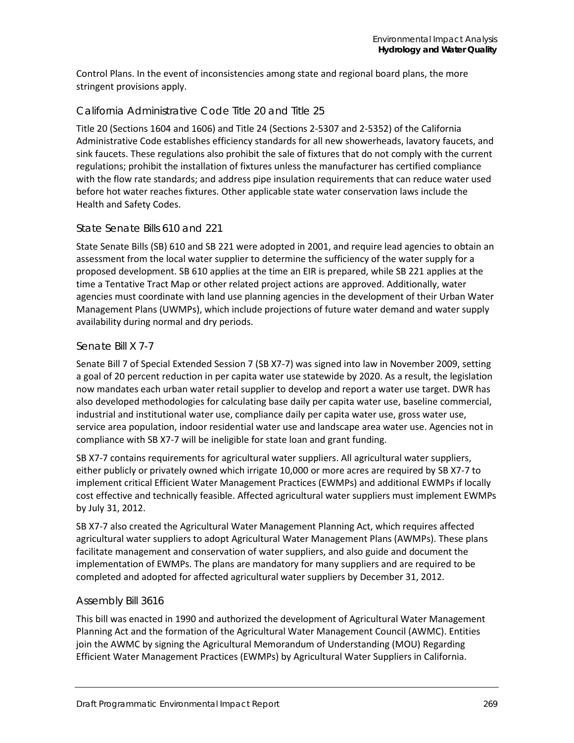Control Plans. In the event of inconsistencies among state and regional board plans, the more stringent provisions apply.

### *California Administrative Code Title 20 and Title 25*

Title 20 (Sections 1604 and 1606) and Title 24 (Sections 2-5307 and 2-5352) of the California Administrative Code establishes efficiency standards for all new showerheads, lavatory faucets, and sink faucets. These regulations also prohibit the sale of fixtures that do not comply with the current regulations; prohibit the installation of fixtures unless the manufacturer has certified compliance with the flow rate standards; and address pipe insulation requirements that can reduce water used before hot water reaches fixtures. Other applicable state water conservation laws include the Health and Safety Codes.

#### *State Senate Bills 610 and 221*

State Senate Bills (SB) 610 and SB 221 were adopted in 2001, and require lead agencies to obtain an assessment from the local water supplier to determine the sufficiency of the water supply for a proposed development. SB 610 applies at the time an EIR is prepared, while SB 221 applies at the time a Tentative Tract Map or other related project actions are approved. Additionally, water agencies must coordinate with land use planning agencies in the development of their Urban Water Management Plans (UWMPs), which include projections of future water demand and water supply availability during normal and dry periods.

#### *Senate Bill X 7-7*

Senate Bill 7 of Special Extended Session 7 (SB X7-7) was signed into law in November 2009, setting a goal of 20 percent reduction in per capita water use statewide by 2020. As a result, the legislation now mandates each urban water retail supplier to develop and report a water use target. DWR has also developed methodologies for calculating base daily per capita water use, baseline commercial, industrial and institutional water use, compliance daily per capita water use, gross water use, service area population, indoor residential water use and landscape area water use. Agencies not in compliance with SB X7-7 will be ineligible for state loan and grant funding.

SB X7-7 contains requirements for agricultural water suppliers. All agricultural water suppliers, either publicly or privately owned which irrigate 10,000 or more acres are required by SB X7-7 to implement critical Efficient Water Management Practices (EWMPs) and additional EWMPs if locally cost effective and technically feasible. Affected agricultural water suppliers must implement EWMPs by July 31, 2012.

SB X7-7 also created the Agricultural Water Management Planning Act, which requires affected agricultural water suppliers to adopt Agricultural Water Management Plans (AWMPs). These plans facilitate management and conservation of water suppliers, and also guide and document the implementation of EWMPs. The plans are mandatory for many suppliers and are required to be completed and adopted for affected agricultural water suppliers by December 31, 2012.

#### *Assembly Bill 3616*

This bill was enacted in 1990 and authorized the development of Agricultural Water Management Planning Act and the formation of the Agricultural Water Management Council (AWMC). Entities join the AWMC by signing the Agricultural Memorandum of Understanding (MOU) Regarding Efficient Water Management Practices (EWMPs) by Agricultural Water Suppliers in California.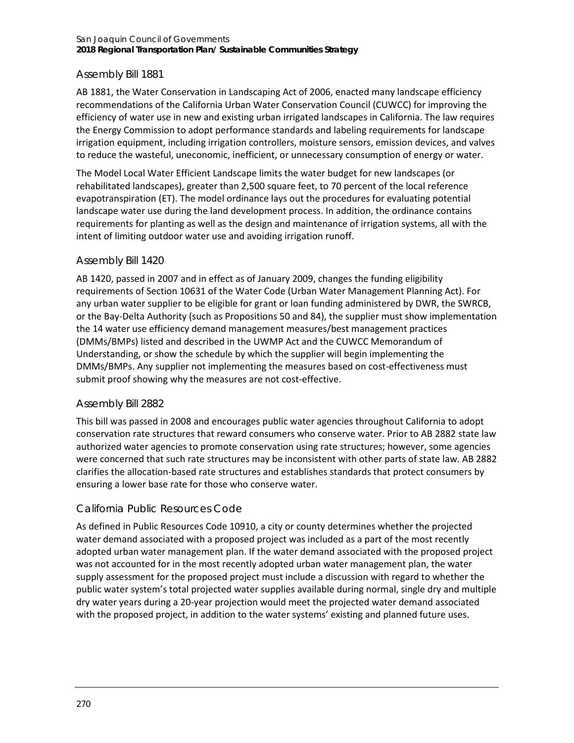#### San Joaquin Council of Governments **2018 Regional Transportation Plan/ Sustainable Communities Strategy**

#### *Assembly Bill 1881*

AB 1881, the Water Conservation in Landscaping Act of 2006, enacted many landscape efficiency recommendations of the California Urban Water Conservation Council (CUWCC) for improving the efficiency of water use in new and existing urban irrigated landscapes in California. The law requires the Energy Commission to adopt performance standards and labeling requirements for landscape irrigation equipment, including irrigation controllers, moisture sensors, emission devices, and valves to reduce the wasteful, uneconomic, inefficient, or unnecessary consumption of energy or water.

The Model Local Water Efficient Landscape limits the water budget for new landscapes (or rehabilitated landscapes), greater than 2,500 square feet, to 70 percent of the local reference evapotranspiration (ET). The model ordinance lays out the procedures for evaluating potential landscape water use during the land development process. In addition, the ordinance contains requirements for planting as well as the design and maintenance of irrigation systems, all with the intent of limiting outdoor water use and avoiding irrigation runoff.

#### *Assembly Bill 1420*

AB 1420, passed in 2007 and in effect as of January 2009, changes the funding eligibility requirements of Section 10631 of the Water Code (Urban Water Management Planning Act). For any urban water supplier to be eligible for grant or loan funding administered by DWR, the SWRCB, or the Bay-Delta Authority (such as Propositions 50 and 84), the supplier must show implementation the 14 water use efficiency demand management measures/best management practices (DMMs/BMPs) listed and described in the UWMP Act and the CUWCC Memorandum of Understanding, or show the schedule by which the supplier will begin implementing the DMMs/BMPs. Any supplier not implementing the measures based on cost-effectiveness must submit proof showing why the measures are not cost-effective.

#### *Assembly Bill 2882*

This bill was passed in 2008 and encourages public water agencies throughout California to adopt conservation rate structures that reward consumers who conserve water. Prior to AB 2882 state law authorized water agencies to promote conservation using rate structures; however, some agencies were concerned that such rate structures may be inconsistent with other parts of state law. AB 2882 clarifies the allocation-based rate structures and establishes standards that protect consumers by ensuring a lower base rate for those who conserve water.

#### *California Public Resources Code*

As defined in Public Resources Code 10910, a city or county determines whether the projected water demand associated with a proposed project was included as a part of the most recently adopted urban water management plan. If the water demand associated with the proposed project was not accounted for in the most recently adopted urban water management plan, the water supply assessment for the proposed project must include a discussion with regard to whether the public water system's total projected water supplies available during normal, single dry and multiple dry water years during a 20-year projection would meet the projected water demand associated with the proposed project, in addition to the water systems' existing and planned future uses.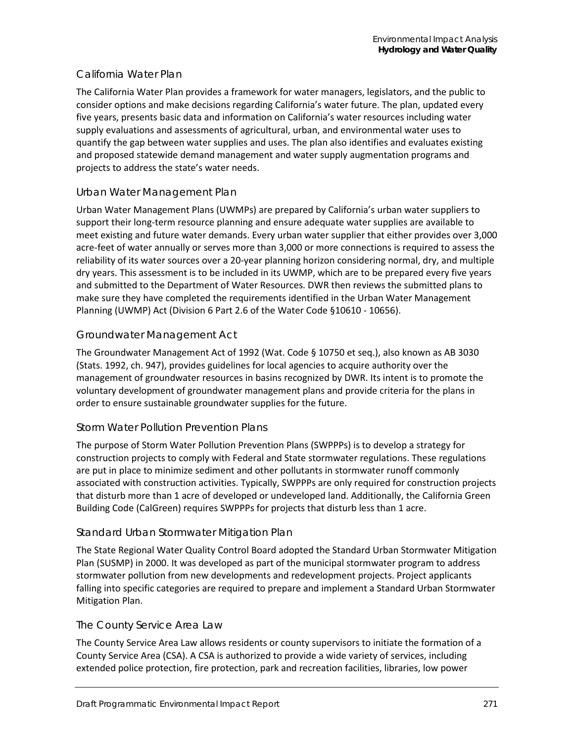### *California Water Plan*

The California Water Plan provides a framework for water managers, legislators, and the public to consider options and make decisions regarding California's water future. The plan, updated every five years, presents basic data and information on California's water resources including water supply evaluations and assessments of agricultural, urban, and environmental water uses to quantify the gap between water supplies and uses. The plan also identifies and evaluates existing and proposed statewide demand management and water supply augmentation programs and projects to address the state's water needs.

#### *Urban Water Management Plan*

Urban Water Management Plans (UWMPs) are prepared by California's urban water suppliers to support their long-term resource planning and ensure adequate water supplies are available to meet existing and future water demands. Every urban water supplier that either provides over 3,000 acre-feet of water annually or serves more than 3,000 or more connections is required to assess the reliability of its water sources over a 20-year planning horizon considering normal, dry, and multiple dry years. This assessment is to be included in its UWMP, which are to be prepared every five years and submitted to the Department of Water Resources. DWR then reviews the submitted plans to make sure they have completed the requirements identified in the Urban Water Management Planning (UWMP) Act (Division 6 Part 2.6 of the Water Code §10610 - 10656).

### *Groundwater Management Act*

The Groundwater Management Act of 1992 (Wat. Code § 10750 et seq.), also known as AB 3030 (Stats. 1992, ch. 947), provides guidelines for local agencies to acquire authority over the management of groundwater resources in basins recognized by DWR. Its intent is to promote the voluntary development of groundwater management plans and provide criteria for the plans in order to ensure sustainable groundwater supplies for the future.

#### *Storm Water Pollution Prevention Plans*

The purpose of Storm Water Pollution Prevention Plans (SWPPPs) is to develop a strategy for construction projects to comply with Federal and State stormwater regulations. These regulations are put in place to minimize sediment and other pollutants in stormwater runoff commonly associated with construction activities. Typically, SWPPPs are only required for construction projects that disturb more than 1 acre of developed or undeveloped land. Additionally, the California Green Building Code (CalGreen) requires SWPPPs for projects that disturb less than 1 acre.

#### *Standard Urban Stormwater Mitigation Plan*

The State Regional Water Quality Control Board adopted the Standard Urban Stormwater Mitigation Plan (SUSMP) in 2000. It was developed as part of the municipal stormwater program to address stormwater pollution from new developments and redevelopment projects. Project applicants falling into specific categories are required to prepare and implement a Standard Urban Stormwater Mitigation Plan.

#### *The County Service Area Law*

The County Service Area Law allows residents or county supervisors to initiate the formation of a County Service Area (CSA). A CSA is authorized to provide a wide variety of services, including extended police protection, fire protection, park and recreation facilities, libraries, low power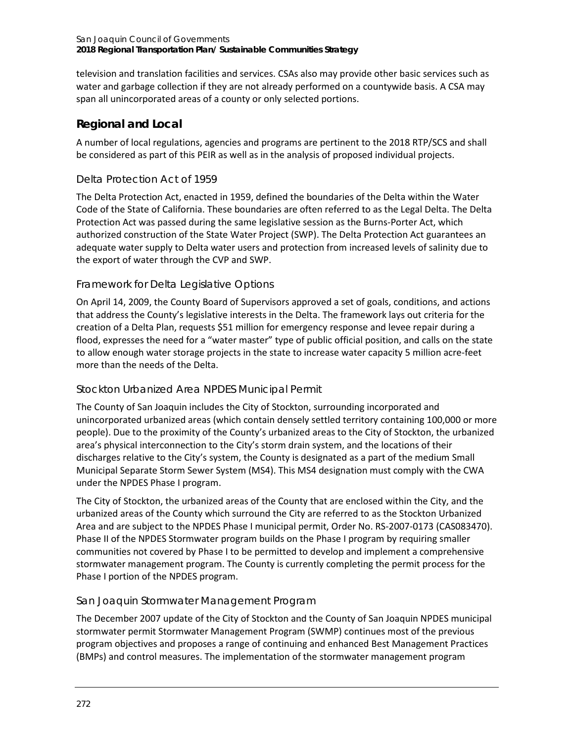television and translation facilities and services. CSAs also may provide other basic services such as water and garbage collection if they are not already performed on a countywide basis. A CSA may span all unincorporated areas of a county or only selected portions.

# **Regional and Local**

A number of local regulations, agencies and programs are pertinent to the 2018 RTP/SCS and shall be considered as part of this PEIR as well as in the analysis of proposed individual projects.

# *Delta Protection Act of 1959*

The Delta Protection Act, enacted in 1959, defined the boundaries of the Delta within the Water Code of the State of California. These boundaries are often referred to as the Legal Delta. The Delta Protection Act was passed during the same legislative session as the Burns-Porter Act, which authorized construction of the State Water Project (SWP). The Delta Protection Act guarantees an adequate water supply to Delta water users and protection from increased levels of salinity due to the export of water through the CVP and SWP.

# *Framework for Delta Legislative Options*

On April 14, 2009, the County Board of Supervisors approved a set of goals, conditions, and actions that address the County's legislative interests in the Delta. The framework lays out criteria for the creation of a Delta Plan, requests \$51 million for emergency response and levee repair during a flood, expresses the need for a "water master" type of public official position, and calls on the state to allow enough water storage projects in the state to increase water capacity 5 million acre-feet more than the needs of the Delta.

# *Stockton Urbanized Area NPDES Municipal Permit*

The County of San Joaquin includes the City of Stockton, surrounding incorporated and unincorporated urbanized areas (which contain densely settled territory containing 100,000 or more people). Due to the proximity of the County's urbanized areas to the City of Stockton, the urbanized area's physical interconnection to the City's storm drain system, and the locations of their discharges relative to the City's system, the County is designated as a part of the medium Small Municipal Separate Storm Sewer System (MS4). This MS4 designation must comply with the CWA under the NPDES Phase I program.

The City of Stockton, the urbanized areas of the County that are enclosed within the City, and the urbanized areas of the County which surround the City are referred to as the Stockton Urbanized Area and are subject to the NPDES Phase I municipal permit, Order No. RS-2007-0173 (CAS083470). Phase II of the NPDES Stormwater program builds on the Phase I program by requiring smaller communities not covered by Phase I to be permitted to develop and implement a comprehensive stormwater management program. The County is currently completing the permit process for the Phase I portion of the NPDES program.

# *San Joaquin Stormwater Management Program*

The December 2007 update of the City of Stockton and the County of San Joaquin NPDES municipal stormwater permit Stormwater Management Program (SWMP) continues most of the previous program objectives and proposes a range of continuing and enhanced Best Management Practices (BMPs) and control measures. The implementation of the stormwater management program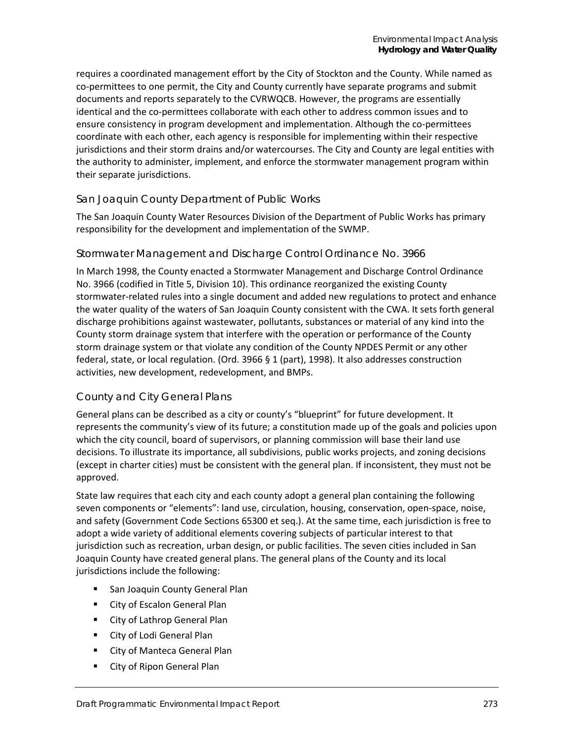requires a coordinated management effort by the City of Stockton and the County. While named as co-permittees to one permit, the City and County currently have separate programs and submit documents and reports separately to the CVRWQCB. However, the programs are essentially identical and the co-permittees collaborate with each other to address common issues and to ensure consistency in program development and implementation. Although the co-permittees coordinate with each other, each agency is responsible for implementing within their respective jurisdictions and their storm drains and/or watercourses. The City and County are legal entities with the authority to administer, implement, and enforce the stormwater management program within their separate jurisdictions.

### *San Joaquin County Department of Public Works*

The San Joaquin County Water Resources Division of the Department of Public Works has primary responsibility for the development and implementation of the SWMP.

#### *Stormwater Management and Discharge Control Ordinance No. 3966*

In March 1998, the County enacted a Stormwater Management and Discharge Control Ordinance No. 3966 (codified in Title 5, Division 10). This ordinance reorganized the existing County stormwater-related rules into a single document and added new regulations to protect and enhance the water quality of the waters of San Joaquin County consistent with the CWA. It sets forth general discharge prohibitions against wastewater, pollutants, substances or material of any kind into the County storm drainage system that interfere with the operation or performance of the County storm drainage system or that violate any condition of the County NPDES Permit or any other federal, state, or local regulation. (Ord. 3966 § 1 (part), 1998). It also addresses construction activities, new development, redevelopment, and BMPs.

#### *County and City General Plans*

General plans can be described as a city or county's "blueprint" for future development. It represents the community's view of its future; a constitution made up of the goals and policies upon which the city council, board of supervisors, or planning commission will base their land use decisions. To illustrate its importance, all subdivisions, public works projects, and zoning decisions (except in charter cities) must be consistent with the general plan. If inconsistent, they must not be approved.

State law requires that each city and each county adopt a general plan containing the following seven components or "elements": land use, circulation, housing, conservation, open-space, noise, and safety (Government Code Sections 65300 et seq.). At the same time, each jurisdiction is free to adopt a wide variety of additional elements covering subjects of particular interest to that jurisdiction such as recreation, urban design, or public facilities. The seven cities included in San Joaquin County have created general plans. The general plans of the County and its local jurisdictions include the following:

- **San Joaquin County General Plan**
- **EXECT:** City of Escalon General Plan
- **EXECT:** City of Lathrop General Plan
- **E** City of Lodi General Plan
- **E** City of Manteca General Plan
- **E** City of Ripon General Plan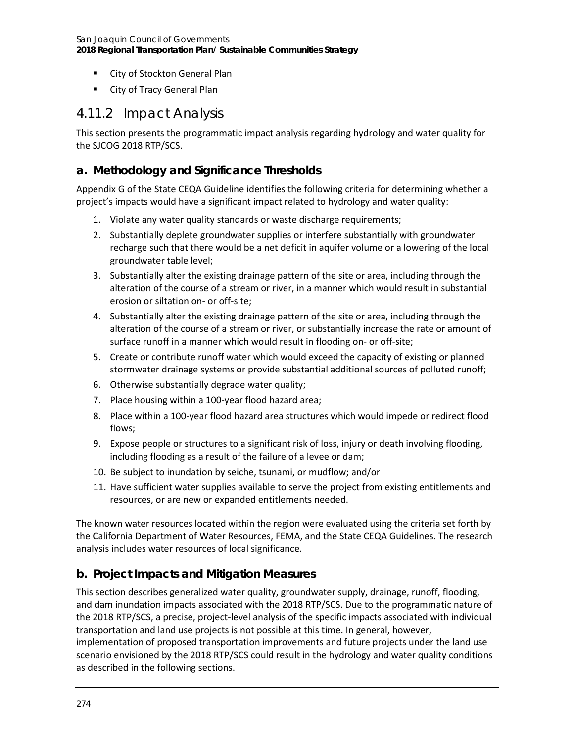- **EXECT:** City of Stockton General Plan
- **E** City of Tracy General Plan

# 4.11.2 Impact Analysis

This section presents the programmatic impact analysis regarding hydrology and water quality for the SJCOG 2018 RTP/SCS.

### **a. Methodology and Significance Thresholds**

Appendix G of the State CEQA Guideline identifies the following criteria for determining whether a project's impacts would have a significant impact related to hydrology and water quality:

- 1. Violate any water quality standards or waste discharge requirements;
- 2. Substantially deplete groundwater supplies or interfere substantially with groundwater recharge such that there would be a net deficit in aquifer volume or a lowering of the local groundwater table level;
- 3. Substantially alter the existing drainage pattern of the site or area, including through the alteration of the course of a stream or river, in a manner which would result in substantial erosion or siltation on- or off-site;
- 4. Substantially alter the existing drainage pattern of the site or area, including through the alteration of the course of a stream or river, or substantially increase the rate or amount of surface runoff in a manner which would result in flooding on- or off-site;
- 5. Create or contribute runoff water which would exceed the capacity of existing or planned stormwater drainage systems or provide substantial additional sources of polluted runoff;
- 6. Otherwise substantially degrade water quality;
- 7. Place housing within a 100-year flood hazard area;
- 8. Place within a 100-year flood hazard area structures which would impede or redirect flood flows;
- 9. Expose people or structures to a significant risk of loss, injury or death involving flooding, including flooding as a result of the failure of a levee or dam;
- 10. Be subject to inundation by seiche, tsunami, or mudflow; and/or
- 11. Have sufficient water supplies available to serve the project from existing entitlements and resources, or are new or expanded entitlements needed.

The known water resources located within the region were evaluated using the criteria set forth by the California Department of Water Resources, FEMA, and the State CEQA Guidelines. The research analysis includes water resources of local significance.

# **b. Project Impacts and Mitigation Measures**

This section describes generalized water quality, groundwater supply, drainage, runoff, flooding, and dam inundation impacts associated with the 2018 RTP/SCS. Due to the programmatic nature of the 2018 RTP/SCS, a precise, project-level analysis of the specific impacts associated with individual transportation and land use projects is not possible at this time. In general, however,

implementation of proposed transportation improvements and future projects under the land use scenario envisioned by the 2018 RTP/SCS could result in the hydrology and water quality conditions as described in the following sections.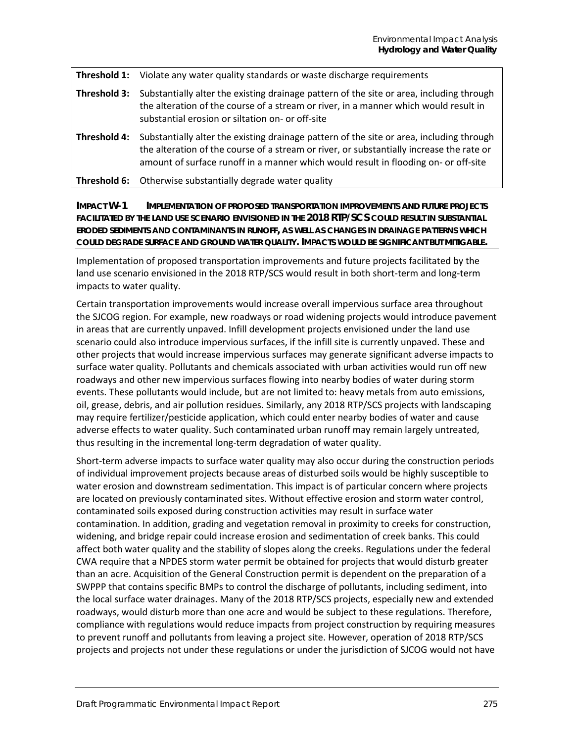|  | <b>Threshold 1:</b> Violate any water quality standards or waste discharge requirements |
|--|-----------------------------------------------------------------------------------------|
|--|-----------------------------------------------------------------------------------------|

- **Threshold 3:** Substantially alter the existing drainage pattern of the site or area, including through the alteration of the course of a stream or river, in a manner which would result in substantial erosion or siltation on- or off-site
- **Threshold 4:** Substantially alter the existing drainage pattern of the site or area, including through the alteration of the course of a stream or river, or substantially increase the rate or amount of surface runoff in a manner which would result in flooding on- or off-site
- **Threshold 6:** Otherwise substantially degrade water quality

**IMPACT W-1 IMPLEMENTATION OF PROPOSED TRANSPORTATION IMPROVEMENTS AND FUTURE PROJECTS FACILITATED BY THE LAND USE SCENARIO ENVISIONED IN THE 2018 RTP/SCS COULD RESULT IN SUBSTANTIAL ERODED SEDIMENTS AND CONTAMINANTS IN RUNOFF, AS WELL AS CHANGES IN DRAINAGE PATTERNS WHICH COULD DEGRADE SURFACE AND GROUND WATER QUALITY. IMPACTS WOULD BE SIGNIFICANT BUT MITIGABLE.**

Implementation of proposed transportation improvements and future projects facilitated by the land use scenario envisioned in the 2018 RTP/SCS would result in both short-term and long-term impacts to water quality.

Certain transportation improvements would increase overall impervious surface area throughout the SJCOG region. For example, new roadways or road widening projects would introduce pavement in areas that are currently unpaved. Infill development projects envisioned under the land use scenario could also introduce impervious surfaces, if the infill site is currently unpaved. These and other projects that would increase impervious surfaces may generate significant adverse impacts to surface water quality. Pollutants and chemicals associated with urban activities would run off new roadways and other new impervious surfaces flowing into nearby bodies of water during storm events. These pollutants would include, but are not limited to: heavy metals from auto emissions, oil, grease, debris, and air pollution residues. Similarly, any 2018 RTP/SCS projects with landscaping may require fertilizer/pesticide application, which could enter nearby bodies of water and cause adverse effects to water quality. Such contaminated urban runoff may remain largely untreated, thus resulting in the incremental long-term degradation of water quality.

Short-term adverse impacts to surface water quality may also occur during the construction periods of individual improvement projects because areas of disturbed soils would be highly susceptible to water erosion and downstream sedimentation. This impact is of particular concern where projects are located on previously contaminated sites. Without effective erosion and storm water control, contaminated soils exposed during construction activities may result in surface water contamination. In addition, grading and vegetation removal in proximity to creeks for construction, widening, and bridge repair could increase erosion and sedimentation of creek banks. This could affect both water quality and the stability of slopes along the creeks. Regulations under the federal CWA require that a NPDES storm water permit be obtained for projects that would disturb greater than an acre. Acquisition of the General Construction permit is dependent on the preparation of a SWPPP that contains specific BMPs to control the discharge of pollutants, including sediment, into the local surface water drainages. Many of the 2018 RTP/SCS projects, especially new and extended roadways, would disturb more than one acre and would be subject to these regulations. Therefore, compliance with regulations would reduce impacts from project construction by requiring measures to prevent runoff and pollutants from leaving a project site. However, operation of 2018 RTP/SCS projects and projects not under these regulations or under the jurisdiction of SJCOG would not have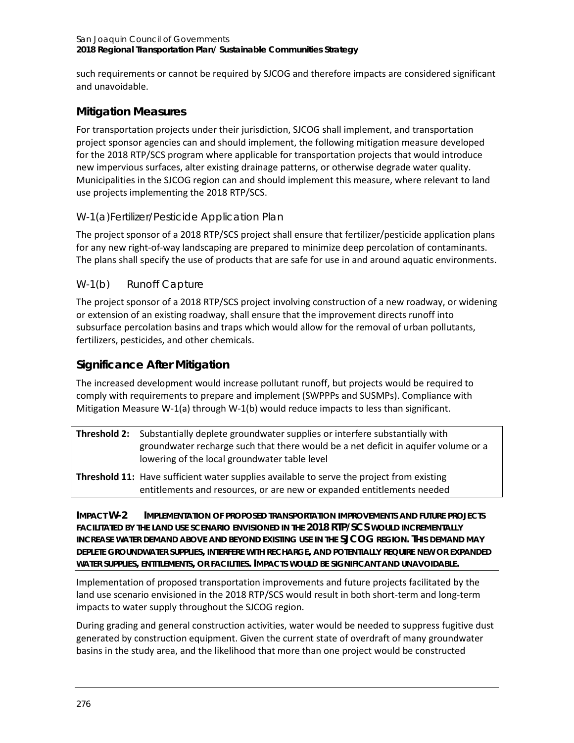such requirements or cannot be required by SJCOG and therefore impacts are considered significant and unavoidable.

# **Mitigation Measures**

For transportation projects under their jurisdiction, SJCOG shall implement, and transportation project sponsor agencies can and should implement, the following mitigation measure developed for the 2018 RTP/SCS program where applicable for transportation projects that would introduce new impervious surfaces, alter existing drainage patterns, or otherwise degrade water quality. Municipalities in the SJCOG region can and should implement this measure, where relevant to land use projects implementing the 2018 RTP/SCS.

# *W-1(a)Fertilizer/Pesticide Application Plan*

The project sponsor of a 2018 RTP/SCS project shall ensure that fertilizer/pesticide application plans for any new right-of-way landscaping are prepared to minimize deep percolation of contaminants. The plans shall specify the use of products that are safe for use in and around aquatic environments.

# *W-1(b) Runoff Capture*

The project sponsor of a 2018 RTP/SCS project involving construction of a new roadway, or widening or extension of an existing roadway, shall ensure that the improvement directs runoff into subsurface percolation basins and traps which would allow for the removal of urban pollutants, fertilizers, pesticides, and other chemicals.

# **Significance After Mitigation**

The increased development would increase pollutant runoff, but projects would be required to comply with requirements to prepare and implement (SWPPPs and SUSMPs). Compliance with Mitigation Measure W-1(a) through W-1(b) would reduce impacts to less than significant.

| <b>Threshold 2:</b> Substantially deplete groundwater supplies or interfere substantially with<br>groundwater recharge such that there would be a net deficit in aquifer volume or a<br>lowering of the local groundwater table level |
|---------------------------------------------------------------------------------------------------------------------------------------------------------------------------------------------------------------------------------------|
| <b>Threshold 11:</b> Have sufficient water supplies available to serve the project from existing                                                                                                                                      |

entitlements and resources, or are new or expanded entitlements needed

**IMPACT W-2 IMPLEMENTATION OF PROPOSED TRANSPORTATION IMPROVEMENTS AND FUTURE PROJECTS FACILITATED BY THE LAND USE SCENARIO ENVISIONED IN THE 2018 RTP/SCS WOULD INCREMENTALLY INCREASE WATER DEMAND ABOVE AND BEYOND EXISTING USE IN THE SJCOG REGION. THIS DEMAND MAY DEPLETE GROUNDWATER SUPPLIES, INTERFERE WITH RECHARGE, AND POTENTIALLY REQUIRE NEW OR EXPANDED WATER SUPPLIES, ENTITLEMENTS, OR FACILITIES. IMPACTS WOULD BE SIGNIFICANT AND UNAVOIDABLE.**

Implementation of proposed transportation improvements and future projects facilitated by the land use scenario envisioned in the 2018 RTP/SCS would result in both short-term and long-term impacts to water supply throughout the SJCOG region.

During grading and general construction activities, water would be needed to suppress fugitive dust generated by construction equipment. Given the current state of overdraft of many groundwater basins in the study area, and the likelihood that more than one project would be constructed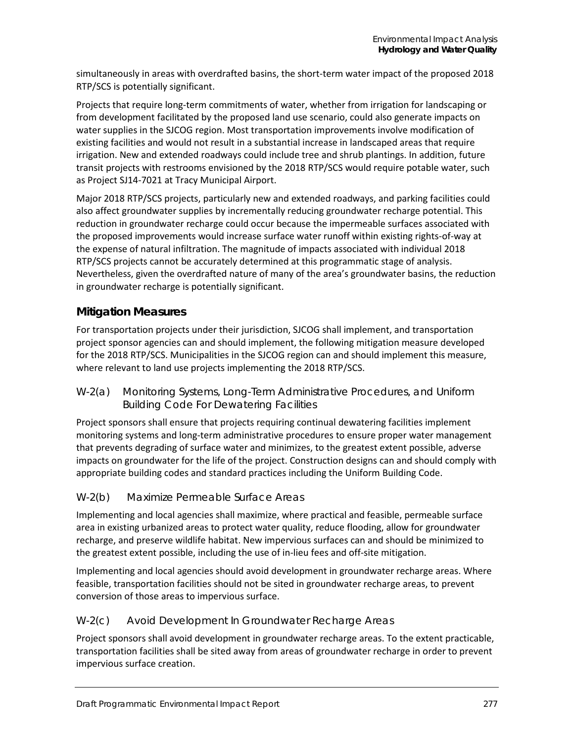simultaneously in areas with overdrafted basins, the short-term water impact of the proposed 2018 RTP/SCS is potentially significant.

Projects that require long-term commitments of water, whether from irrigation for landscaping or from development facilitated by the proposed land use scenario, could also generate impacts on water supplies in the SJCOG region. Most transportation improvements involve modification of existing facilities and would not result in a substantial increase in landscaped areas that require irrigation. New and extended roadways could include tree and shrub plantings. In addition, future transit projects with restrooms envisioned by the 2018 RTP/SCS would require potable water, such as Project SJ14-7021 at Tracy Municipal Airport.

Major 2018 RTP/SCS projects, particularly new and extended roadways, and parking facilities could also affect groundwater supplies by incrementally reducing groundwater recharge potential. This reduction in groundwater recharge could occur because the impermeable surfaces associated with the proposed improvements would increase surface water runoff within existing rights-of-way at the expense of natural infiltration. The magnitude of impacts associated with individual 2018 RTP/SCS projects cannot be accurately determined at this programmatic stage of analysis. Nevertheless, given the overdrafted nature of many of the area's groundwater basins, the reduction in groundwater recharge is potentially significant.

# **Mitigation Measures**

For transportation projects under their jurisdiction, SJCOG shall implement, and transportation project sponsor agencies can and should implement, the following mitigation measure developed for the 2018 RTP/SCS. Municipalities in the SJCOG region can and should implement this measure, where relevant to land use projects implementing the 2018 RTP/SCS.

### *W-2(a) Monitoring Systems, Long-Term Administrative Procedures, and Uniform Building Code For Dewatering Facilities*

Project sponsors shall ensure that projects requiring continual dewatering facilities implement monitoring systems and long-term administrative procedures to ensure proper water management that prevents degrading of surface water and minimizes, to the greatest extent possible, adverse impacts on groundwater for the life of the project. Construction designs can and should comply with appropriate building codes and standard practices including the Uniform Building Code.

# *W-2(b) Maximize Permeable Surface Areas*

Implementing and local agencies shall maximize, where practical and feasible, permeable surface area in existing urbanized areas to protect water quality, reduce flooding, allow for groundwater recharge, and preserve wildlife habitat. New impervious surfaces can and should be minimized to the greatest extent possible, including the use of in-lieu fees and off-site mitigation.

Implementing and local agencies should avoid development in groundwater recharge areas. Where feasible, transportation facilities should not be sited in groundwater recharge areas, to prevent conversion of those areas to impervious surface.

#### *W-2(c) Avoid Development In Groundwater Recharge Areas*

Project sponsors shall avoid development in groundwater recharge areas. To the extent practicable, transportation facilities shall be sited away from areas of groundwater recharge in order to prevent impervious surface creation.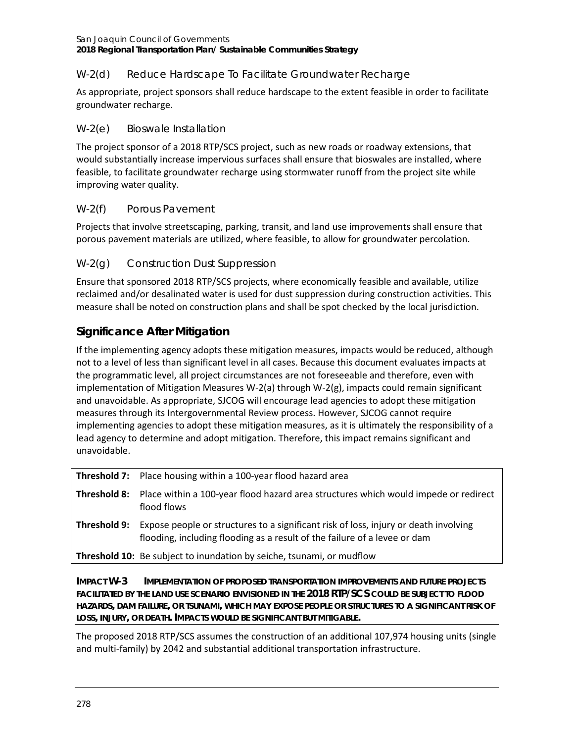San Joaquin Council of Governments **2018 Regional Transportation Plan/ Sustainable Communities Strategy**

# *W-2(d) Reduce Hardscape To Facilitate Groundwater Recharge*

As appropriate, project sponsors shall reduce hardscape to the extent feasible in order to facilitate groundwater recharge.

### *W-2(e) Bioswale Installation*

The project sponsor of a 2018 RTP/SCS project, such as new roads or roadway extensions, that would substantially increase impervious surfaces shall ensure that bioswales are installed, where feasible, to facilitate groundwater recharge using stormwater runoff from the project site while improving water quality.

# *W-2(f) Porous Pavement*

Projects that involve streetscaping, parking, transit, and land use improvements shall ensure that porous pavement materials are utilized, where feasible, to allow for groundwater percolation.

# *W-2(g) Construction Dust Suppression*

Ensure that sponsored 2018 RTP/SCS projects, where economically feasible and available, utilize reclaimed and/or desalinated water is used for dust suppression during construction activities. This measure shall be noted on construction plans and shall be spot checked by the local jurisdiction.

# **Significance After Mitigation**

If the implementing agency adopts these mitigation measures, impacts would be reduced, although not to a level of less than significant level in all cases. Because this document evaluates impacts at the programmatic level, all project circumstances are not foreseeable and therefore, even with implementation of Mitigation Measures W-2(a) through W-2(g), impacts could remain significant and unavoidable. As appropriate, SJCOG will encourage lead agencies to adopt these mitigation measures through its Intergovernmental Review process. However, SJCOG cannot require implementing agencies to adopt these mitigation measures, as it is ultimately the responsibility of a lead agency to determine and adopt mitigation. Therefore, this impact remains significant and unavoidable.

|              | <b>Threshold 7:</b> Place housing within a 100-year flood hazard area                                                                                             |
|--------------|-------------------------------------------------------------------------------------------------------------------------------------------------------------------|
|              | <b>Threshold 8:</b> Place within a 100-year flood hazard area structures which would impede or redirect<br>flood flows                                            |
| Threshold 9: | Expose people or structures to a significant risk of loss, injury or death involving<br>flooding, including flooding as a result of the failure of a levee or dam |
|              | <b>Threshold 10:</b> Be subject to inundation by seiche, tsunami, or mudflow                                                                                      |

**IMPACT W-3 IMPLEMENTATION OF PROPOSED TRANSPORTATION IMPROVEMENTS AND FUTURE PROJECTS FACILITATED BY THE LAND USE SCENARIO ENVISIONED IN THE 2018 RTP/SCS COULD BE SUBJECT TO FLOOD HAZARDS, DAM FAILURE, OR TSUNAMI, WHICH MAY EXPOSE PEOPLE OR STRUCTURES TO A SIGNIFICANT RISK OF LOSS, INJURY, OR DEATH. IMPACTS WOULD BE SIGNIFICANT BUT MITIGABLE.**

The proposed 2018 RTP/SCS assumes the construction of an additional 107,974 housing units (single and multi-family) by 2042 and substantial additional transportation infrastructure.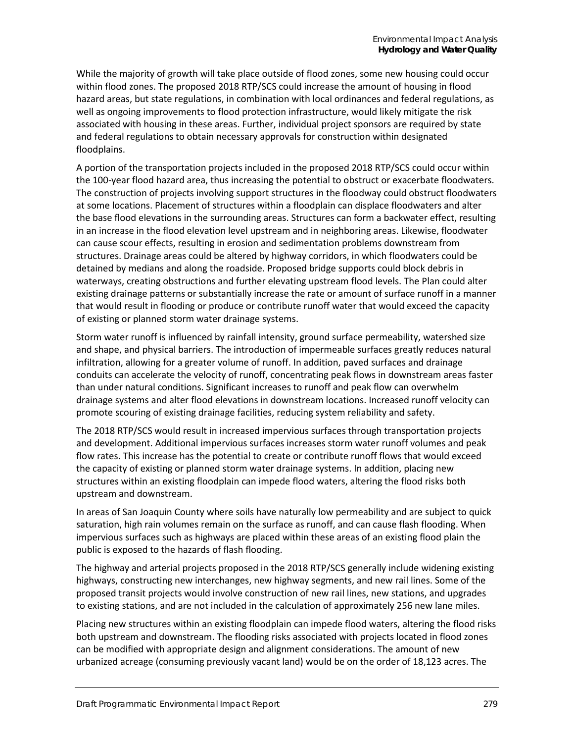While the majority of growth will take place outside of flood zones, some new housing could occur within flood zones. The proposed 2018 RTP/SCS could increase the amount of housing in flood hazard areas, but state regulations, in combination with local ordinances and federal regulations, as well as ongoing improvements to flood protection infrastructure, would likely mitigate the risk associated with housing in these areas. Further, individual project sponsors are required by state and federal regulations to obtain necessary approvals for construction within designated floodplains.

A portion of the transportation projects included in the proposed 2018 RTP/SCS could occur within the 100-year flood hazard area, thus increasing the potential to obstruct or exacerbate floodwaters. The construction of projects involving support structures in the floodway could obstruct floodwaters at some locations. Placement of structures within a floodplain can displace floodwaters and alter the base flood elevations in the surrounding areas. Structures can form a backwater effect, resulting in an increase in the flood elevation level upstream and in neighboring areas. Likewise, floodwater can cause scour effects, resulting in erosion and sedimentation problems downstream from structures. Drainage areas could be altered by highway corridors, in which floodwaters could be detained by medians and along the roadside. Proposed bridge supports could block debris in waterways, creating obstructions and further elevating upstream flood levels. The Plan could alter existing drainage patterns or substantially increase the rate or amount of surface runoff in a manner that would result in flooding or produce or contribute runoff water that would exceed the capacity of existing or planned storm water drainage systems.

Storm water runoff is influenced by rainfall intensity, ground surface permeability, watershed size and shape, and physical barriers. The introduction of impermeable surfaces greatly reduces natural infiltration, allowing for a greater volume of runoff. In addition, paved surfaces and drainage conduits can accelerate the velocity of runoff, concentrating peak flows in downstream areas faster than under natural conditions. Significant increases to runoff and peak flow can overwhelm drainage systems and alter flood elevations in downstream locations. Increased runoff velocity can promote scouring of existing drainage facilities, reducing system reliability and safety.

The 2018 RTP/SCS would result in increased impervious surfaces through transportation projects and development. Additional impervious surfaces increases storm water runoff volumes and peak flow rates. This increase has the potential to create or contribute runoff flows that would exceed the capacity of existing or planned storm water drainage systems. In addition, placing new structures within an existing floodplain can impede flood waters, altering the flood risks both upstream and downstream.

In areas of San Joaquin County where soils have naturally low permeability and are subject to quick saturation, high rain volumes remain on the surface as runoff, and can cause flash flooding. When impervious surfaces such as highways are placed within these areas of an existing flood plain the public is exposed to the hazards of flash flooding.

The highway and arterial projects proposed in the 2018 RTP/SCS generally include widening existing highways, constructing new interchanges, new highway segments, and new rail lines. Some of the proposed transit projects would involve construction of new rail lines, new stations, and upgrades to existing stations, and are not included in the calculation of approximately 256 new lane miles.

Placing new structures within an existing floodplain can impede flood waters, altering the flood risks both upstream and downstream. The flooding risks associated with projects located in flood zones can be modified with appropriate design and alignment considerations. The amount of new urbanized acreage (consuming previously vacant land) would be on the order of 18,123 acres. The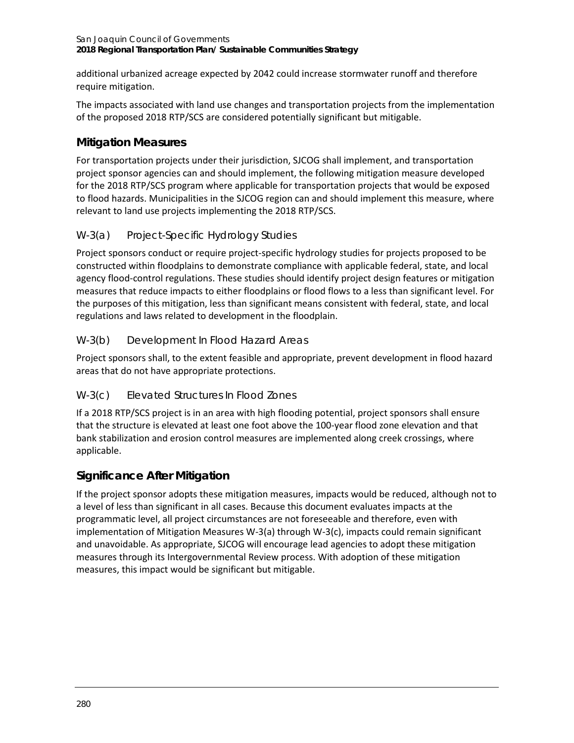additional urbanized acreage expected by 2042 could increase stormwater runoff and therefore require mitigation.

The impacts associated with land use changes and transportation projects from the implementation of the proposed 2018 RTP/SCS are considered potentially significant but mitigable.

# **Mitigation Measures**

For transportation projects under their jurisdiction, SJCOG shall implement, and transportation project sponsor agencies can and should implement, the following mitigation measure developed for the 2018 RTP/SCS program where applicable for transportation projects that would be exposed to flood hazards. Municipalities in the SJCOG region can and should implement this measure, where relevant to land use projects implementing the 2018 RTP/SCS.

# *W-3(a) Project-Specific Hydrology Studies*

Project sponsors conduct or require project-specific hydrology studies for projects proposed to be constructed within floodplains to demonstrate compliance with applicable federal, state, and local agency flood-control regulations. These studies should identify project design features or mitigation measures that reduce impacts to either floodplains or flood flows to a less than significant level. For the purposes of this mitigation, less than significant means consistent with federal, state, and local regulations and laws related to development in the floodplain.

# *W-3(b) Development In Flood Hazard Areas*

Project sponsors shall, to the extent feasible and appropriate, prevent development in flood hazard areas that do not have appropriate protections.

# *W-3(c) Elevated Structures In Flood Zones*

If a 2018 RTP/SCS project is in an area with high flooding potential, project sponsors shall ensure that the structure is elevated at least one foot above the 100-year flood zone elevation and that bank stabilization and erosion control measures are implemented along creek crossings, where applicable.

# **Significance After Mitigation**

If the project sponsor adopts these mitigation measures, impacts would be reduced, although not to a level of less than significant in all cases. Because this document evaluates impacts at the programmatic level, all project circumstances are not foreseeable and therefore, even with implementation of Mitigation Measures W-3(a) through W-3(c), impacts could remain significant and unavoidable. As appropriate, SJCOG will encourage lead agencies to adopt these mitigation measures through its Intergovernmental Review process. With adoption of these mitigation measures, this impact would be significant but mitigable.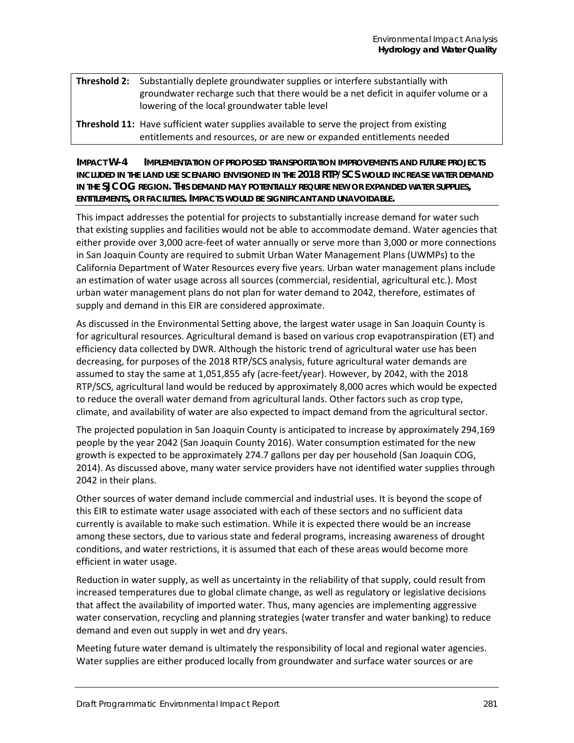- **Threshold 2:** Substantially deplete groundwater supplies or interfere substantially with groundwater recharge such that there would be a net deficit in aquifer volume or a lowering of the local groundwater table level
- **Threshold 11:** Have sufficient water supplies available to serve the project from existing entitlements and resources, or are new or expanded entitlements needed

**IMPACT W-4 IMPLEMENTATION OF PROPOSED TRANSPORTATION IMPROVEMENTS AND FUTURE PROJECTS INCLUDED IN THE LAND USE SCENARIO ENVISIONED IN THE 2018 RTP/SCS WOULD INCREASE WATER DEMAND IN THE SJCOG REGION. THIS DEMAND MAY POTENTIALLY REQUIRE NEW OR EXPANDED WATER SUPPLIES, ENTITLEMENTS, OR FACILITIES. IMPACTS WOULD BE SIGNIFICANT AND UNAVOIDABLE.**

This impact addresses the potential for projects to substantially increase demand for water such that existing supplies and facilities would not be able to accommodate demand. Water agencies that either provide over 3,000 acre-feet of water annually or serve more than 3,000 or more connections in San Joaquin County are required to submit Urban Water Management Plans (UWMPs) to the California Department of Water Resources every five years. Urban water management plans include an estimation of water usage across all sources (commercial, residential, agricultural etc.). Most urban water management plans do not plan for water demand to 2042, therefore, estimates of supply and demand in this EIR are considered approximate.

As discussed in the Environmental Setting above, the largest water usage in San Joaquin County is for agricultural resources. Agricultural demand is based on various crop evapotranspiration (ET) and efficiency data collected by DWR. Although the historic trend of agricultural water use has been decreasing, for purposes of the 2018 RTP/SCS analysis, future agricultural water demands are assumed to stay the same at 1,051,855 afy (acre-feet/year). However, by 2042, with the 2018 RTP/SCS, agricultural land would be reduced by approximately 8,000 acres which would be expected to reduce the overall water demand from agricultural lands. Other factors such as crop type, climate, and availability of water are also expected to impact demand from the agricultural sector.

The projected population in San Joaquin County is anticipated to increase by approximately 294,169 people by the year 2042 (San Joaquin County 2016). Water consumption estimated for the new growth is expected to be approximately 274.7 gallons per day per household (San Joaquin COG, 2014). As discussed above, many water service providers have not identified water supplies through 2042 in their plans.

Other sources of water demand include commercial and industrial uses. It is beyond the scope of this EIR to estimate water usage associated with each of these sectors and no sufficient data currently is available to make such estimation. While it is expected there would be an increase among these sectors, due to various state and federal programs, increasing awareness of drought conditions, and water restrictions, it is assumed that each of these areas would become more efficient in water usage.

Reduction in water supply, as well as uncertainty in the reliability of that supply, could result from increased temperatures due to global climate change, as well as regulatory or legislative decisions that affect the availability of imported water. Thus, many agencies are implementing aggressive water conservation, recycling and planning strategies (water transfer and water banking) to reduce demand and even out supply in wet and dry years.

Meeting future water demand is ultimately the responsibility of local and regional water agencies. Water supplies are either produced locally from groundwater and surface water sources or are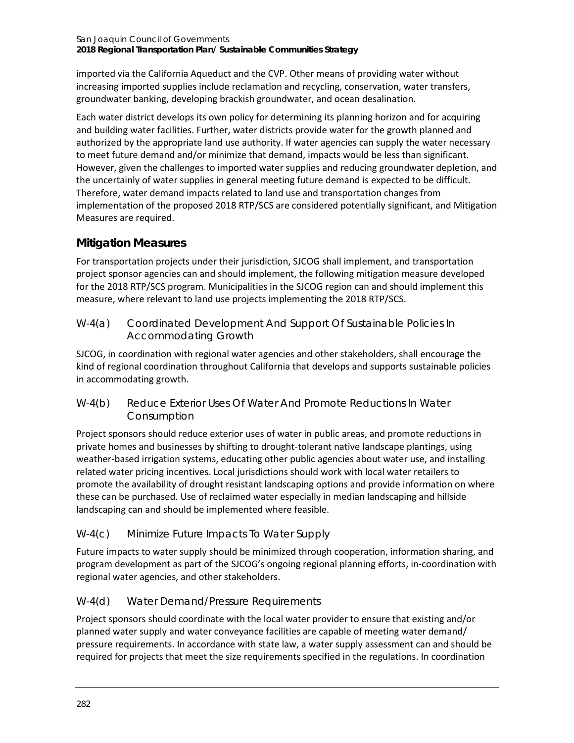imported via the California Aqueduct and the CVP. Other means of providing water without increasing imported supplies include reclamation and recycling, conservation, water transfers, groundwater banking, developing brackish groundwater, and ocean desalination.

Each water district develops its own policy for determining its planning horizon and for acquiring and building water facilities. Further, water districts provide water for the growth planned and authorized by the appropriate land use authority. If water agencies can supply the water necessary to meet future demand and/or minimize that demand, impacts would be less than significant. However, given the challenges to imported water supplies and reducing groundwater depletion, and the uncertainly of water supplies in general meeting future demand is expected to be difficult. Therefore, water demand impacts related to land use and transportation changes from implementation of the proposed 2018 RTP/SCS are considered potentially significant, and Mitigation Measures are required.

# **Mitigation Measures**

For transportation projects under their jurisdiction, SJCOG shall implement, and transportation project sponsor agencies can and should implement, the following mitigation measure developed for the 2018 RTP/SCS program. Municipalities in the SJCOG region can and should implement this measure, where relevant to land use projects implementing the 2018 RTP/SCS.

*W-4(a) Coordinated Development And Support Of Sustainable Policies In Accommodating Growth*

SJCOG, in coordination with regional water agencies and other stakeholders, shall encourage the kind of regional coordination throughout California that develops and supports sustainable policies in accommodating growth.

*W-4(b) Reduce Exterior Uses Of Water And Promote Reductions In Water Consumption*

Project sponsors should reduce exterior uses of water in public areas, and promote reductions in private homes and businesses by shifting to drought-tolerant native landscape plantings, using weather-based irrigation systems, educating other public agencies about water use, and installing related water pricing incentives. Local jurisdictions should work with local water retailers to promote the availability of drought resistant landscaping options and provide information on where these can be purchased. Use of reclaimed water especially in median landscaping and hillside landscaping can and should be implemented where feasible.

# *W-4(c) Minimize Future Impacts To Water Supply*

Future impacts to water supply should be minimized through cooperation, information sharing, and program development as part of the SJCOG's ongoing regional planning efforts, in-coordination with regional water agencies, and other stakeholders.

# *W-4(d) Water Demand/Pressure Requirements*

Project sponsors should coordinate with the local water provider to ensure that existing and/or planned water supply and water conveyance facilities are capable of meeting water demand/ pressure requirements. In accordance with state law, a water supply assessment can and should be required for projects that meet the size requirements specified in the regulations. In coordination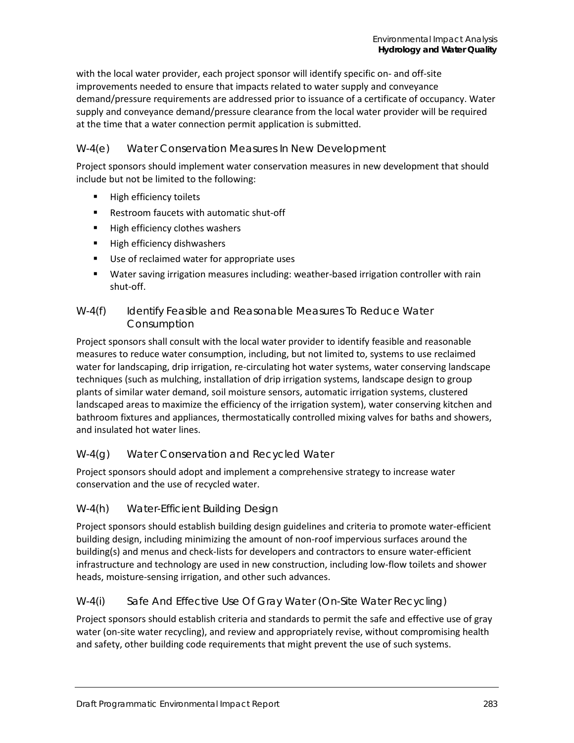with the local water provider, each project sponsor will identify specific on- and off-site improvements needed to ensure that impacts related to water supply and conveyance demand/pressure requirements are addressed prior to issuance of a certificate of occupancy. Water supply and conveyance demand/pressure clearance from the local water provider will be required at the time that a water connection permit application is submitted.

### *W-4(e) Water Conservation Measures In New Development*

Project sponsors should implement water conservation measures in new development that should include but not be limited to the following:

- **High efficiency toilets**
- Restroom faucets with automatic shut-off
- **High efficiency clothes washers**
- **High efficiency dishwashers**
- Use of reclaimed water for appropriate uses
- Water saving irrigation measures including: weather-based irrigation controller with rain shut-off.

#### *W-4(f) Identify Feasible and Reasonable Measures To Reduce Water Consumption*

Project sponsors shall consult with the local water provider to identify feasible and reasonable measures to reduce water consumption, including, but not limited to, systems to use reclaimed water for landscaping, drip irrigation, re-circulating hot water systems, water conserving landscape techniques (such as mulching, installation of drip irrigation systems, landscape design to group plants of similar water demand, soil moisture sensors, automatic irrigation systems, clustered landscaped areas to maximize the efficiency of the irrigation system), water conserving kitchen and bathroom fixtures and appliances, thermostatically controlled mixing valves for baths and showers, and insulated hot water lines.

# *W-4(g) Water Conservation and Recycled Water*

Project sponsors should adopt and implement a comprehensive strategy to increase water conservation and the use of recycled water.

# *W-4(h) Water-Efficient Building Design*

Project sponsors should establish building design guidelines and criteria to promote water-efficient building design, including minimizing the amount of non-roof impervious surfaces around the building(s) and menus and check-lists for developers and contractors to ensure water-efficient infrastructure and technology are used in new construction, including low-flow toilets and shower heads, moisture-sensing irrigation, and other such advances.

# *W-4(i) Safe And Effective Use Of Gray Water (On-Site Water Recycling)*

Project sponsors should establish criteria and standards to permit the safe and effective use of gray water (on-site water recycling), and review and appropriately revise, without compromising health and safety, other building code requirements that might prevent the use of such systems.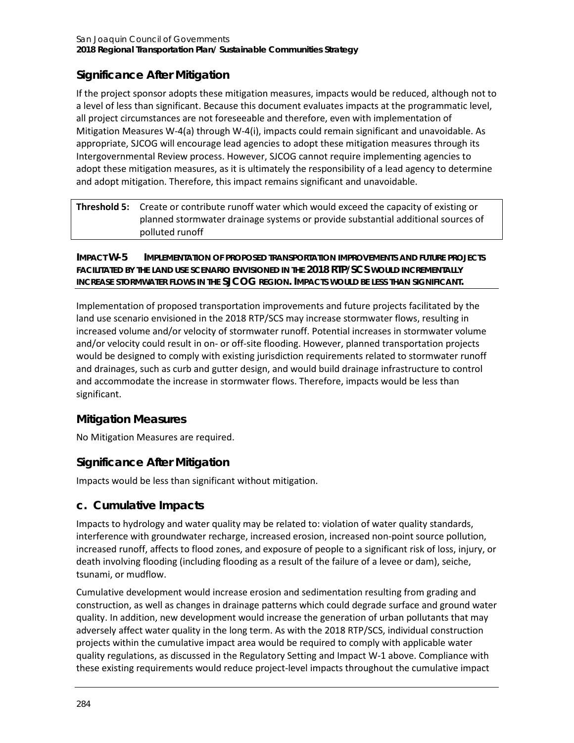# **Significance After Mitigation**

If the project sponsor adopts these mitigation measures, impacts would be reduced, although not to a level of less than significant. Because this document evaluates impacts at the programmatic level, all project circumstances are not foreseeable and therefore, even with implementation of Mitigation Measures W-4(a) through W-4(i), impacts could remain significant and unavoidable. As appropriate, SJCOG will encourage lead agencies to adopt these mitigation measures through its Intergovernmental Review process. However, SJCOG cannot require implementing agencies to adopt these mitigation measures, as it is ultimately the responsibility of a lead agency to determine and adopt mitigation. Therefore, this impact remains significant and unavoidable.

| <b>Threshold 5:</b> Create or contribute runoff water which would exceed the capacity of existing or |
|------------------------------------------------------------------------------------------------------|
| planned stormwater drainage systems or provide substantial additional sources of                     |
| polluted runoff                                                                                      |

**IMPACT W-5 IMPLEMENTATION OF PROPOSED TRANSPORTATION IMPROVEMENTS AND FUTURE PROJECTS FACILITATED BY THE LAND USE SCENARIO ENVISIONED IN THE 2018 RTP/SCS WOULD INCREMENTALLY INCREASE STORMWATER FLOWS IN THE SJCOG REGION. IMPACTS WOULD BE LESS THAN SIGNIFICANT.**

Implementation of proposed transportation improvements and future projects facilitated by the land use scenario envisioned in the 2018 RTP/SCS may increase stormwater flows, resulting in increased volume and/or velocity of stormwater runoff. Potential increases in stormwater volume and/or velocity could result in on- or off-site flooding. However, planned transportation projects would be designed to comply with existing jurisdiction requirements related to stormwater runoff and drainages, such as curb and gutter design, and would build drainage infrastructure to control and accommodate the increase in stormwater flows. Therefore, impacts would be less than significant.

# **Mitigation Measures**

No Mitigation Measures are required.

# **Significance After Mitigation**

Impacts would be less than significant without mitigation.

# **c. Cumulative Impacts**

Impacts to hydrology and water quality may be related to: violation of water quality standards, interference with groundwater recharge, increased erosion, increased non-point source pollution, increased runoff, affects to flood zones, and exposure of people to a significant risk of loss, injury, or death involving flooding (including flooding as a result of the failure of a levee or dam), seiche, tsunami, or mudflow.

Cumulative development would increase erosion and sedimentation resulting from grading and construction, as well as changes in drainage patterns which could degrade surface and ground water quality. In addition, new development would increase the generation of urban pollutants that may adversely affect water quality in the long term. As with the 2018 RTP/SCS, individual construction projects within the cumulative impact area would be required to comply with applicable water quality regulations, as discussed in the Regulatory Setting and Impact W-1 above. Compliance with these existing requirements would reduce project-level impacts throughout the cumulative impact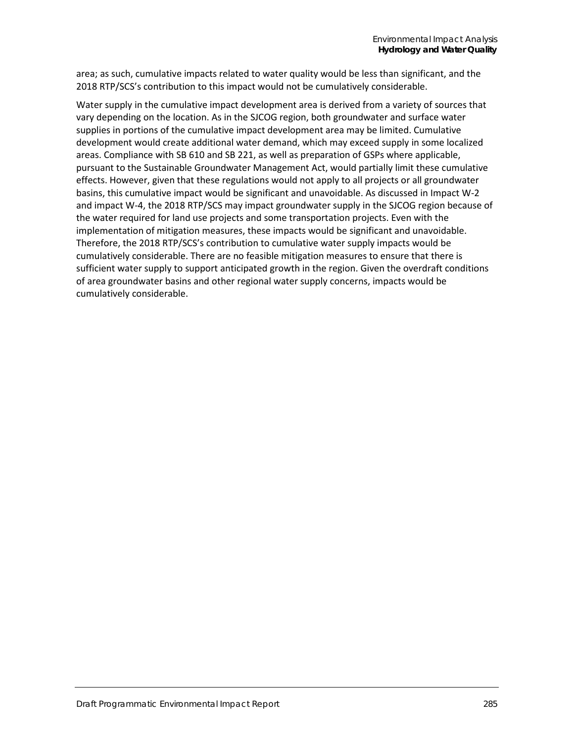area; as such, cumulative impacts related to water quality would be less than significant, and the 2018 RTP/SCS's contribution to this impact would not be cumulatively considerable.

Water supply in the cumulative impact development area is derived from a variety of sources that vary depending on the location. As in the SJCOG region, both groundwater and surface water supplies in portions of the cumulative impact development area may be limited. Cumulative development would create additional water demand, which may exceed supply in some localized areas. Compliance with SB 610 and SB 221, as well as preparation of GSPs where applicable, pursuant to the Sustainable Groundwater Management Act, would partially limit these cumulative effects. However, given that these regulations would not apply to all projects or all groundwater basins, this cumulative impact would be significant and unavoidable. As discussed in Impact W-2 and impact W-4, the 2018 RTP/SCS may impact groundwater supply in the SJCOG region because of the water required for land use projects and some transportation projects. Even with the implementation of mitigation measures, these impacts would be significant and unavoidable. Therefore, the 2018 RTP/SCS's contribution to cumulative water supply impacts would be cumulatively considerable. There are no feasible mitigation measures to ensure that there is sufficient water supply to support anticipated growth in the region. Given the overdraft conditions of area groundwater basins and other regional water supply concerns, impacts would be cumulatively considerable.